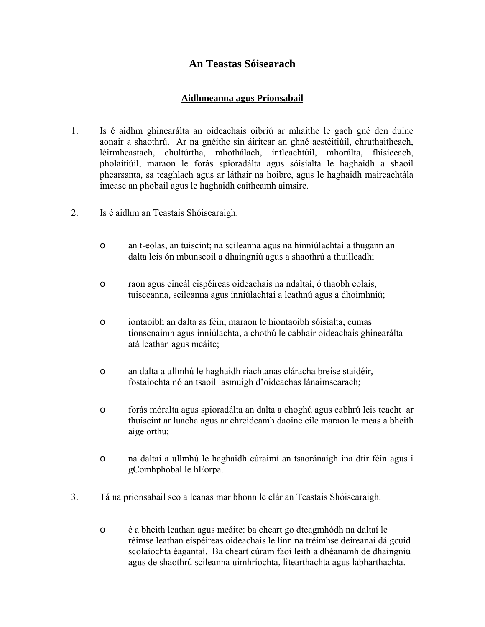# **An Teastas Sóisearach**

### **Aidhmeanna agus Prionsabail**

- 1. Is é aidhm ghinearálta an oideachais oibriú ar mhaithe le gach gné den duine aonair a shaothrú. Ar na gnéithe sin áirítear an ghné aestéitiúil, chruthaitheach, léirmheastach, chultúrtha, mhothálach, intleachtúil, mhorálta, fhisiceach, pholaitiúil, maraon le forás spioradálta agus sóisialta le haghaidh a shaoil phearsanta, sa teaghlach agus ar láthair na hoibre, agus le haghaidh maireachtála imeasc an phobail agus le haghaidh caitheamh aimsire.
- 2. Is é aidhm an Teastais Shóisearaigh.
	- o an t-eolas, an tuiscint; na scileanna agus na hinniúlachtaí a thugann an dalta leis ón mbunscoil a dhaingniú agus a shaothrú a thuilleadh;
	- o raon agus cineál eispéireas oideachais na ndaltaí, ó thaobh eolais, tuisceanna, scileanna agus inniúlachtaí a leathnú agus a dhoimhniú;
	- o iontaoibh an dalta as féin, maraon le hiontaoibh sóisialta, cumas tionscnaimh agus inniúlachta, a chothú le cabhair oideachais ghinearálta atá leathan agus meáite;
	- o an dalta a ullmhú le haghaidh riachtanas cláracha breise staidéir, fostaíochta nó an tsaoil lasmuigh d'oideachas lánaimsearach;
	- o forás móralta agus spioradálta an dalta a choghú agus cabhrú leis teacht ar thuiscint ar luacha agus ar chreideamh daoine eile maraon le meas a bheith aige orthu;
	- o na daltaí a ullmhú le haghaidh cúraimí an tsaoránaigh ina dtír féin agus i gComhphobal le hEorpa.
- 3. Tá na prionsabail seo a leanas mar bhonn le clár an Teastais Shóisearaigh.
	- o é a bheith leathan agus meáite: ba cheart go dteagmhódh na daltaí le réimse leathan eispéireas oideachais le linn na tréimhse deireanaí dá gcuid scolaíochta éagantaí. Ba cheart cúram faoi leith a dhéanamh de dhaingniú agus de shaothrú scileanna uimhríochta, litearthachta agus labharthachta.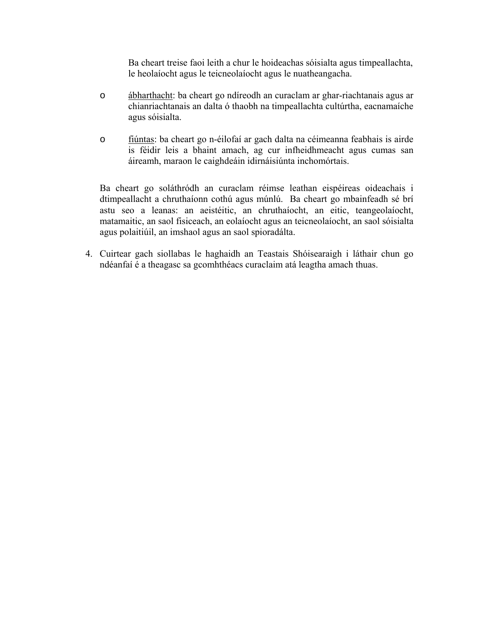Ba cheart treise faoi leith a chur le hoideachas sóisialta agus timpeallachta, le heolaíocht agus le teicneolaíocht agus le nuatheangacha.

- o ábharthacht: ba cheart go ndíreodh an curaclam ar ghar-riachtanais agus ar chianriachtanais an dalta ó thaobh na timpeallachta cultúrtha, eacnamaíche agus sóisialta.
- o fiúntas: ba cheart go n-éilofaí ar gach dalta na céimeanna feabhais is airde is féidir leis a bhaint amach, ag cur infheidhmeacht agus cumas san áireamh, maraon le caighdeáin idirnáisiúnta inchomórtais.

Ba cheart go soláthródh an curaclam réimse leathan eispéireas oideachais i dtimpeallacht a chruthaíonn cothú agus múnlú. Ba cheart go mbainfeadh sé brí astu seo a leanas: an aeistéitic, an chruthaíocht, an eitic, teangeolaíocht, matamaitic, an saol fisiceach, an eolaíocht agus an teicneolaíocht, an saol sóisialta agus polaitiúil, an imshaol agus an saol spioradálta.

4. Cuirtear gach siollabas le haghaidh an Teastais Shóisearaigh i láthair chun go ndéanfaí é a theagasc sa gcomhthéacs curaclaim atá leagtha amach thuas.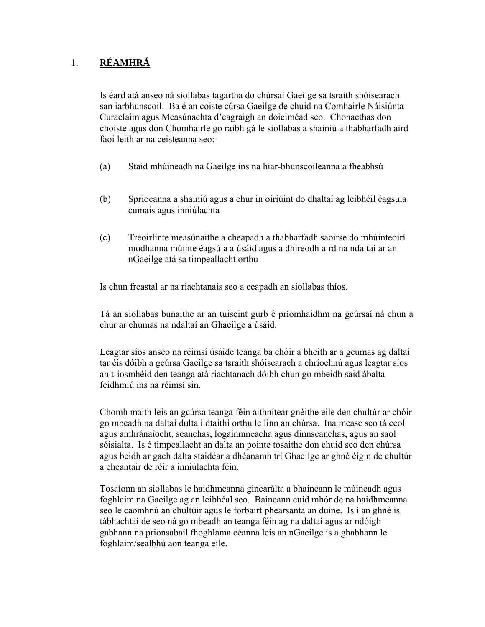# 1. **RÉAMHRÁ**

Is éard atá anseo ná siollabas tagartha do chúrsaí Gaeilge sa tsraith shóisearach san iarbhunscoil. Ba é an coiste cúrsa Gaeilge de chuid na Comhairle Náisiúnta Curaclaim agus Measúnachta d'eagraigh an doiciméad seo. Chonacthas don choiste agus don Chomhairle go raibh gá le siollabas a shainiú a thabharfadh aird faoi leith ar na ceisteanna seo:-

- (a) Staid mhúineadh na Gaeilge ins na hiar-bhunscoileanna a fheabhsú
- (b) Spriocanna a shainiú agus a chur in oiriúint do dhaltaí ag leibhéil éagsula cumais agus inniúlachta
- (c) Treoirlínte measúnaithe a cheapadh a thabharfadh saoirse do mhúinteoirí modhanna múinte éagsúla a úsáid agus a dhíreodh aird na ndaltaí ar an nGaeilge atá sa timpeallacht orthu

Is chun freastal ar na riachtanais seo a ceapadh an siollabas thíos.

Tá an siollabas bunaithe ar an tuiscint gurb é príomhaidhm na gcúrsaí ná chun a chur ar chumas na ndaltaí an Ghaeilge a úsáid.

Leagtar síos anseo na réimsí úsáide teanga ba chóir a bheith ar a gcumas ag daltaí tar éis dóibh a gcúrsa Gaeilge sa tsraith shóisearach a chríochnú agus leagtar síos an t-íosmhéid den teanga atá riachtanach dóibh chun go mbeidh said ábalta feidhmiú ins na réimsí sin.

Chomh maith leis an gcúrsa teanga féin aithnítear gnéithe eile den chultúr ar chóir go mbeadh na daltaí dulta i dtaithí orthu le linn an chúrsa. Ina measc seo tá ceol agus amhránaíocht, seanchas, logainmneacha agus dinnseanchas, agus an saol sóisialta. Is é timpeallacht an dalta an pointe tosaithe don chuid seo den chúrsa agus beidh ar gach dalta staidéar a dhéanamh trí Ghaeilge ar ghné éigin de chultúr a cheantair de réir a inniúlachta féin.

Tosaíonn an siollabas le haidhmeanna ginearálta a bhaineann le múineadh agus foghlaim na Gaeilge ag an leibhéal seo. Baineann cuid mhór de na haidhmeanna seo le caomhnú an chultúir agus le forbairt phearsanta an duine. Is í an ghné is tábhachtaí de seo ná go mbeadh an teanga féin ag na daltaí agus ar ndóigh gabhann na prionsabail fhoghlama céanna leis an nGaeilge is a ghabhann le foghlaim/sealbhú aon teanga eile.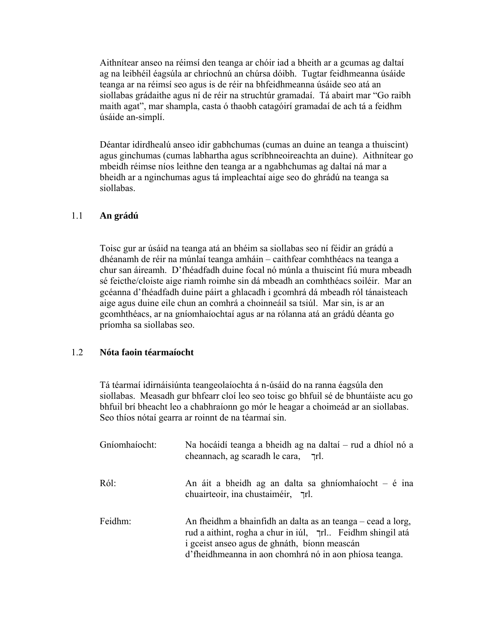Aithnítear anseo na réimsí den teanga ar chóir iad a bheith ar a gcumas ag daltaí ag na leibhéil éagsúla ar chríochnú an chúrsa dóibh. Tugtar feidhmeanna úsáide teanga ar na réimsí seo agus is de réir na bhfeidhmeanna úsáide seo atá an siollabas grádaithe agus ní de réir na struchtúr gramadaí. Tá abairt mar "Go raibh maith agat", mar shampla, casta ó thaobh catagóirí gramadaí de ach tá a feidhm úsáide an-simplí.

Déantar idirdhealú anseo idir gabhchumas (cumas an duine an teanga a thuiscint) agus ginchumas (cumas labhartha agus scríbhneoireachta an duine). Aithnítear go mbeidh réimse níos leithne den teanga ar a ngabhchumas ag daltaí ná mar a bheidh ar a nginchumas agus tá impleachtaí aige seo do ghrádú na teanga sa siollabas.

#### 1.1 **An grádú**

Toisc gur ar úsáid na teanga atá an bhéim sa siollabas seo ní féidir an grádú a dhéanamh de réir na múnlaí teanga amháin – caithfear comhthéacs na teanga a chur san áireamh. D'fhéadfadh duine focal nó múnla a thuiscint fiú mura mbeadh sé feicthe/cloiste aige riamh roimhe sin dá mbeadh an comhthéacs soiléir. Mar an gcéanna d'fhéadfadh duine páirt a ghlacadh i gcomhrá dá mbeadh ról tánaisteach aige agus duine eile chun an comhrá a choinneáil sa tsiúl. Mar sin, is ar an gcomhthéacs, ar na gníomhaíochtaí agus ar na rólanna atá an grádú déanta go príomha sa siollabas seo.

#### 1.2 **Nóta faoin téarmaíocht**

Tá téarmaí idirnáisiúnta teangeolaíochta á n-úsáid do na ranna éagsúla den siollabas. Measadh gur bhfearr cloí leo seo toisc go bhfuil sé de bhuntáiste acu go bhfuil brí bheacht leo a chabhraíonn go mór le heagar a choimeád ar an siollabas. Seo thíos nótaí gearra ar roinnt de na téarmaí sin.

| Gníomhaíocht: | Na hocáidí teanga a bheidh ag na daltaí – rud a dhíol nó a<br>cheannach, ag scaradh le cara, [r].                                                                                                                                   |
|---------------|-------------------------------------------------------------------------------------------------------------------------------------------------------------------------------------------------------------------------------------|
| Ról:          | An áit a bheidh ag an dalta sa ghníomhaíocht $-$ é ina<br>chuairteoir, ina chustaiméir, [r].                                                                                                                                        |
| Feidhm:       | An fheidhm a bhainfidh an dalta as an teanga – cead a lorg,<br>rud a aithint, rogha a chur in iúl, 7rl Feidhm shingil atá<br>i gceist anseo agus de ghnáth, bíonn meascán<br>d'fheidhmeanna in aon chomhrá nó in aon phíosa teanga. |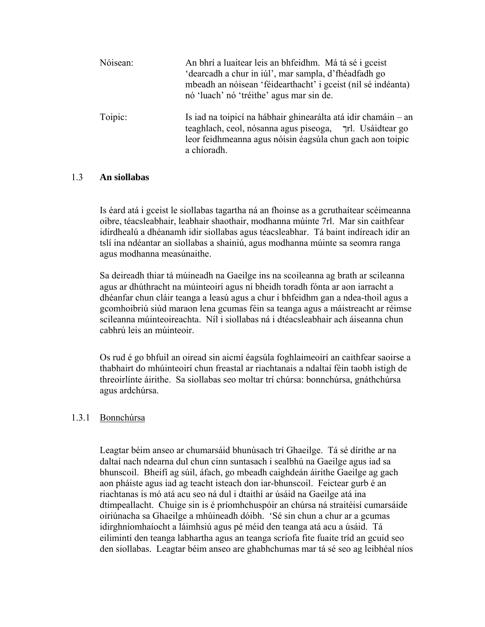| Nóisean: | An bhrí a luaitear leis an bhfeidhm. Má tá sé i gceist<br>'dearcadh a chur in iúl', mar sampla, d'fhéadfadh go<br>mbeadh an nóisean 'féidearthacht' i gceist (níl sé indéanta)<br>nó 'luach' nó 'tréithe' agus mar sin de. |
|----------|----------------------------------------------------------------------------------------------------------------------------------------------------------------------------------------------------------------------------|
| Toipic:  | Is iad na toipicí na hábhair ghinearálta atá idir chamáin – an<br>teaghlach, ceol, nósanna agus piseoga, Trl. Usáidtear go<br>leor feidhmeanna agus nóisin éagsúla chun gach aon toipic<br>a chíoradh.                     |

#### 1.3 **An siollabas**

Is éard atá i gceist le siollabas tagartha ná an fhoinse as a gcruthaítear scéimeanna oibre, téacsleabhair, leabhair shaothair, modhanna múinte 7rl. Mar sin caithfear idirdhealú a dhéanamh idir siollabas agus téacsleabhar. Tá baint indíreach idir an tslí ina ndéantar an siollabas a shainiú, agus modhanna múinte sa seomra ranga agus modhanna measúnaithe.

Sa deireadh thiar tá múineadh na Gaeilge ins na scoileanna ag brath ar scileanna agus ar dhúthracht na múinteoirí agus ní bheidh toradh fónta ar aon iarracht a dhéanfar chun cláir teanga a leasú agus a chur i bhfeidhm gan a ndea-thoil agus a gcomhoibriú siúd maraon lena gcumas féin sa teanga agus a máistreacht ar réimse scileanna múinteoireachta. Níl i siollabas ná i dtéacsleabhair ach áiseanna chun cabhrú leis an múinteoir.

Os rud é go bhfuil an oiread sin aicmí éagsúla foghlaimeoirí an caithfear saoirse a thabhairt do mhúinteoirí chun freastal ar riachtanais a ndaltaí féin taobh istigh de threoirlínte áirithe. Sa siollabas seo moltar trí chúrsa: bonnchúrsa, gnáthchúrsa agus ardchúrsa.

## 1.3.1 Bonnchúrsa

Leagtar béim anseo ar chumarsáid bhunúsach trí Ghaeilge. Tá sé dírithe ar na daltaí nach ndearna dul chun cinn suntasach i sealbhú na Gaeilge agus iad sa bhunscoil. Bheifí ag súil, áfach, go mbeadh caighdeán áirithe Gaeilge ag gach aon pháiste agus iad ag teacht isteach don iar-bhunscoil. Feictear gurb é an riachtanas is mó atá acu seo ná dul i dtaithí ar úsáid na Gaeilge atá ina dtimpeallacht. Chuige sin is é príomhchuspóir an chúrsa ná straitéisí cumarsáide oiriúnacha sa Ghaeilge a mhúineadh dóibh. 'Sé sin chun a chur ar a gcumas idirghníomhaíocht a láimhsiú agus pé méid den teanga atá acu a úsáid. Tá eilimintí den teanga labhartha agus an teanga scríofa fite fuaite tríd an gcuid seo den siollabas. Leagtar béim anseo are ghabhchumas mar tá sé seo ag leibhéal níos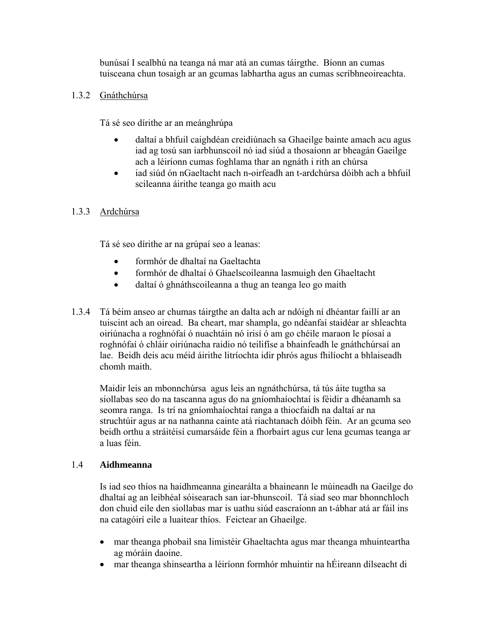bunúsaí I sealbhú na teanga ná mar atá an cumas táirgthe. Bíonn an cumas tuisceana chun tosaigh ar an gcumas labhartha agus an cumas scríbhneoireachta.

# 1.3.2 Gnáthchúrsa

Tá sé seo dírithe ar an meánghrúpa

- daltaí a bhfuil caighdéan creidiúnach sa Ghaeilge bainte amach acu agus iad ag tosú san iarbhunscoil nó iad siúd a thosaíonn ar bheagán Gaeilge ach a léiríonn cumas foghlama thar an ngnáth i rith an chúrsa
- iad siúd ón nGaeltacht nach n-oirfeadh an t-ardchúrsa dóibh ach a bhfuil scileanna áirithe teanga go maith acu

# 1.3.3 Ardchúrsa

Tá sé seo dírithe ar na grúpaí seo a leanas:

- formhór de dhaltaí na Gaeltachta
- formhór de dhaltaí ó Ghaelscoileanna lasmuigh den Ghaeltacht
- daltaí ó ghnáthscoileanna a thug an teanga leo go maith
- 1.3.4 Tá béim anseo ar chumas táirgthe an dalta ach ar ndóigh ní dhéantar faillí ar an tuiscint ach an oiread. Ba cheart, mar shampla, go ndéanfaí staidéar ar shleachta oiriúnacha a roghnófaí ó nuachtáin nó irisí ó am go chéile maraon le píosaí a roghnófaí ó chláir oiriúnacha raidio nó teilifíse a bhainfeadh le gnáthchúrsaí an lae. Beidh deis acu méid áirithe litríochta idir phrós agus fhilíocht a bhlaiseadh chomh maith.

Maidir leis an mbonnchúrsa agus leis an ngnáthchúrsa, tá tús áite tugtha sa siollabas seo do na tascanna agus do na gníomhaíochtaí is féidir a dhéanamh sa seomra ranga. Is trí na gníomhaíochtaí ranga a thiocfaidh na daltaí ar na struchtúir agus ar na nathanna cainte atá riachtanach dóibh féin. Ar an gcuma seo beidh orthu a stráitéisí cumarsáide féin a fhorbairt agus cur lena gcumas teanga ar a luas féin.

## 1.4 **Aidhmeanna**

Is iad seo thíos na haidhmeanna ginearálta a bhaineann le múineadh na Gaeilge do dhaltaí ag an leibhéal sóisearach san iar-bhunscoil. Tá siad seo mar bhonnchloch don chuid eile den siollabas mar is uathu siúd eascraíonn an t-ábhar atá ar fáil ins na catagóirí eile a luaitear thíos. Feictear an Ghaeilge.

- mar theanga phobail sna limistéir Ghaeltachta agus mar theanga mhuinteartha ag móráin daoine.
- mar theanga shinseartha a léiríonn formhór mhuintir na hÉireann dílseacht di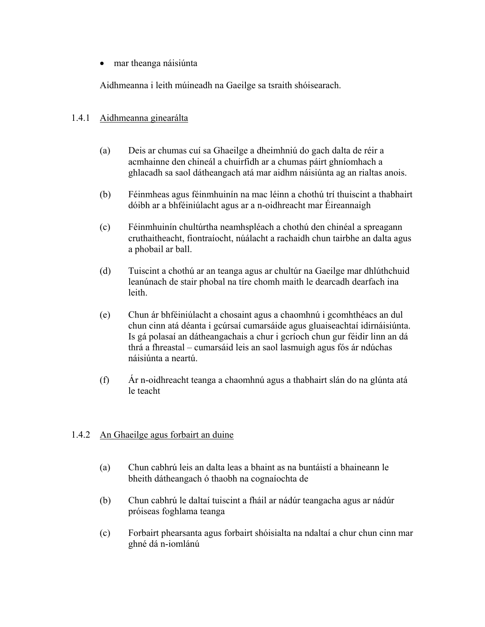• mar theanga náisiúnta

Aidhmeanna i leith múineadh na Gaeilge sa tsraith shóisearach.

#### 1.4.1 Aidhmeanna ginearálta

- (a) Deis ar chumas cuí sa Ghaeilge a dheimhniú do gach dalta de réir a acmhainne den chineál a chuirfidh ar a chumas páirt ghníomhach a ghlacadh sa saol dátheangach atá mar aidhm náisiúnta ag an rialtas anois.
- (b) Féinmheas agus féinmhuinín na mac léinn a chothú trí thuiscint a thabhairt dóibh ar a bhféiniúlacht agus ar a n-oidhreacht mar Éireannaigh
- (c) Féinmhuinín chultúrtha neamhspléach a chothú den chinéal a spreagann cruthaitheacht, fiontraíocht, núálacht a rachaidh chun tairbhe an dalta agus a phobail ar ball.
- (d) Tuiscint a chothú ar an teanga agus ar chultúr na Gaeilge mar dhlúthchuid leanúnach de stair phobal na tíre chomh maith le dearcadh dearfach ina leith.
- (e) Chun ár bhféiniúlacht a chosaint agus a chaomhnú i gcomhthéacs an dul chun cinn atá déanta i gcúrsaí cumarsáide agus gluaiseachtaí idirnáisiúnta. Is gá polasaí an dátheangachais a chur i gcríoch chun gur féidir linn an dá thrá a fhreastal – cumarsáid leis an saol lasmuigh agus fós ár ndúchas náisiúnta a neartú.
- (f) Ár n-oidhreacht teanga a chaomhnú agus a thabhairt slán do na glúnta atá le teacht

## 1.4.2 An Ghaeilge agus forbairt an duine

- (a) Chun cabhrú leis an dalta leas a bhaint as na buntáistí a bhaineann le bheith dátheangach ó thaobh na cognaíochta de
- (b) Chun cabhrú le daltaí tuiscint a fháil ar nádúr teangacha agus ar nádúr próiseas foghlama teanga
- (c) Forbairt phearsanta agus forbairt shóisialta na ndaltaí a chur chun cinn mar ghné dá n-iomlánú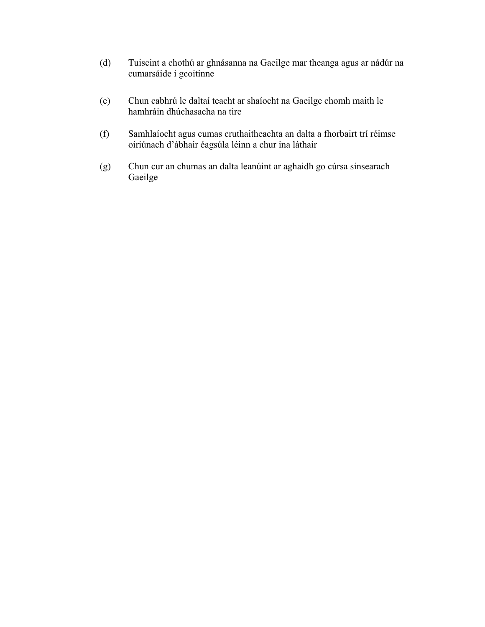- (d) Tuiscint a chothú ar ghnásanna na Gaeilge mar theanga agus ar nádúr na cumarsáide i gcoitinne
- (e) Chun cabhrú le daltaí teacht ar shaíocht na Gaeilge chomh maith le hamhráin dhúchasacha na tire
- (f) Samhlaíocht agus cumas cruthaitheachta an dalta a fhorbairt trí réimse oiriúnach d'ábhair éagsúla léinn a chur ina láthair
- (g) Chun cur an chumas an dalta leanúint ar aghaidh go cúrsa sinsearach Gaeilge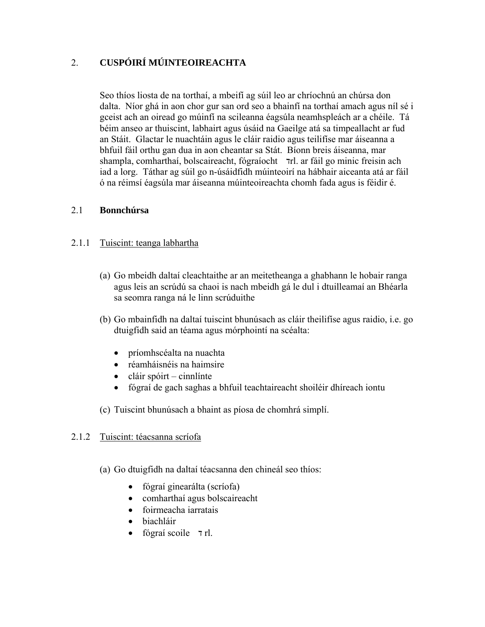# 2. **CUSPÓIRÍ MÚINTEOIREACHTA**

Seo thíos liosta de na torthaí, a mbeifí ag súil leo ar chríochnú an chúrsa don dalta. Níor ghá in aon chor gur san ord seo a bhainfí na torthaí amach agus níl sé i gceist ach an oiread go múinfí na scileanna éagsúla neamhspleách ar a chéile. Tá béim anseo ar thuiscint, labhairt agus úsáid na Gaeilge atá sa timpeallacht ar fud an Stáit. Glactar le nuachtáin agus le cláir raidio agus teilifíse mar áiseanna a bhfuil fáil orthu gan dua in aon cheantar sa Stát. Bíonn breis áiseanna, mar shampla, comharthaí, bolscaireacht, fógraíocht  $\tau$ rl. ar fáil go minic freisin ach iad a lorg. Táthar ag súil go n-úsáidfidh múinteoirí na hábhair aiceanta atá ar fáil ó na réimsí éagsúla mar áiseanna múinteoireachta chomh fada agus is féidir é.

## 2.1 **Bonnchúrsa**

# 2.1.1 Tuiscint: teanga labhartha

- (a) Go mbeidh daltaí cleachtaithe ar an meitetheanga a ghabhann le hobair ranga agus leis an scrúdú sa chaoi is nach mbeidh gá le dul i dtuilleamaí an Bhéarla sa seomra ranga ná le linn scrúduithe
- (b) Go mbainfidh na daltaí tuiscint bhunúsach as cláir theilifíse agus raidio, i.e. go dtuigfidh said an téama agus mórphointí na scéalta:
	- príomhscéalta na nuachta
	- réamháisnéis na haimsire
	- cláir spóirt cinnlínte
	- fógraí de gach saghas a bhfuil teachtaireacht shoiléir dhíreach iontu
- (c) Tuiscint bhunúsach a bhaint as píosa de chomhrá simplí.

## 2.1.2 Tuiscint: téacsanna scríofa

- (a) Go dtuigfidh na daltaí téacsanna den chineál seo thíos:
	- fógraí ginearálta (scríofa)
	- comharthaí agus bolscaireacht
	- foirmeacha iarratais
	- biachláir
	- fógraí scoile  $7$ rl.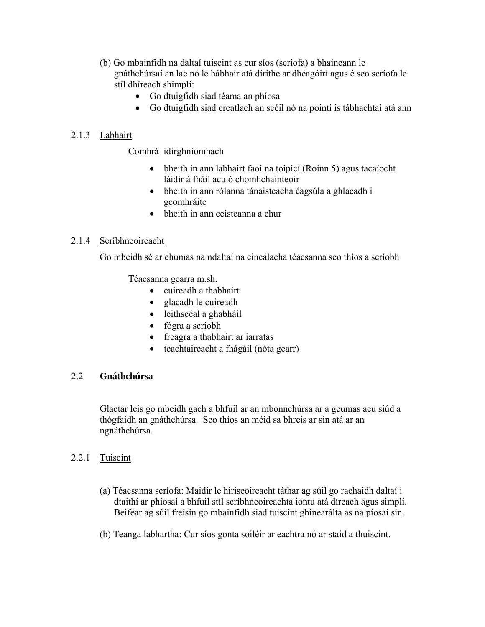- (b) Go mbainfidh na daltaí tuiscint as cur síos (scríofa) a bhaineann le gnáthchúrsaí an lae nó le hábhair atá dírithe ar dhéagóirí agus é seo scríofa le stíl dhíreach shimplí:
	- Go dtuigfidh siad téama an phíosa
	- Go dtuigfidh siad creatlach an scéil nó na pointí is tábhachtaí atá ann

# 2.1.3 Labhairt

Comhrá idirghníomhach

- bheith in ann labhairt faoi na toipicí (Roinn 5) agus tacaíocht láidir á fháil acu ó chomhchainteoir
- bheith in ann rólanna tánaisteacha éagsúla a ghlacadh i gcomhráite
- bheith in ann ceisteanna a chur

## 2.1.4 Scríbhneoireacht

Go mbeidh sé ar chumas na ndaltaí na cineálacha téacsanna seo thíos a scríobh

Téacsanna gearra m.sh.

- cuireadh a thabhairt
- glacadh le cuireadh
- leithscéal a ghabháil
- fógra a scríobh
- freagra a thabhairt ar iarratas
- teachtaireacht a fhágáil (nóta gearr)

# 2.2 **Gnáthchúrsa**

Glactar leis go mbeidh gach a bhfuil ar an mbonnchúrsa ar a gcumas acu siúd a thógfaidh an gnáthchúrsa. Seo thíos an méid sa bhreis ar sin atá ar an ngnáthchúrsa.

## 2.2.1 Tuiscint

- (a) Téacsanna scríofa: Maidir le hiriseoireacht táthar ag súil go rachaidh daltaí i dtaithí ar phíosaí a bhfuil stíl scríbhneoireachta iontu atá díreach agus simplí. Beifear ag súil freisin go mbainfidh siad tuiscint ghinearálta as na píosaí sin.
- (b) Teanga labhartha: Cur síos gonta soiléir ar eachtra nó ar staid a thuiscint.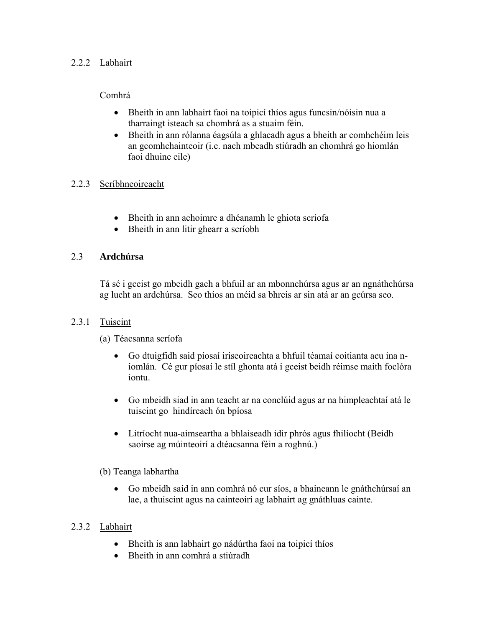# 2.2.2 Labhairt

# Comhrá

- Bheith in ann labhairt faoi na toipicí thíos agus funcsin/nóisin nua a tharraingt isteach sa chomhrá as a stuaim féin.
- Bheith in ann rólanna éagsúla a ghlacadh agus a bheith ar comhchéim leis an gcomhchainteoir (i.e. nach mbeadh stiúradh an chomhrá go hiomlán faoi dhuine eile)

# 2.2.3 Scríbhneoireacht

- Bheith in ann achoimre a dhéanamh le ghiota scríofa
- Bheith in ann litir ghearr a scríobh

# 2.3 **Ardchúrsa**

Tá sé i gceist go mbeidh gach a bhfuil ar an mbonnchúrsa agus ar an ngnáthchúrsa ag lucht an ardchúrsa. Seo thíos an méid sa bhreis ar sin atá ar an gcúrsa seo.

## 2.3.1 Tuiscint

(a) Téacsanna scríofa

- Go dtuigfidh said píosaí iriseoireachta a bhfuil téamaí coitianta acu ina niomlán. Cé gur píosaí le stíl ghonta atá i gceist beidh réimse maith foclóra iontu.
- Go mbeidh siad in ann teacht ar na conclúid agus ar na himpleachtaí atá le tuiscint go hindíreach ón bpíosa
- Litríocht nua-aimseartha a bhlaiseadh idir phrós agus fhilíocht (Beidh saoirse ag múinteoirí a dtéacsanna féin a roghnú.)

# (b) Teanga labhartha

• Go mbeidh said in ann comhrá nó cur síos, a bhaineann le gnáthchúrsaí an lae, a thuiscint agus na cainteoirí ag labhairt ag gnáthluas cainte.

# 2.3.2 Labhairt

- Bheith is ann labhairt go nádúrtha faoi na toipicí thíos
- Bheith in ann comhrá a stiúradh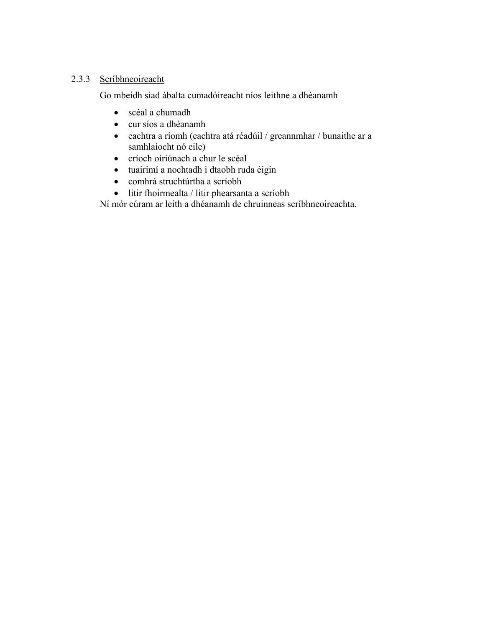# 2.3.3 Scríbhneoireacht

Go mbeidh siad ábalta cumadóireacht níos leithne a dhéanamh

- scéal a chumadh
- cur síos a dhéanamh
- eachtra a ríomh (eachtra atá réadúil / greannmhar / bunaithe ar a samhlaíocht nó eile)
- críoch oiriúnach a chur le scéal
- tuairimí a nochtadh i dtaobh ruda éigin
- comhrá struchtúrtha a scríobh
- litir fhoirmealta / litir phearsanta a scríobh

Ní mór cúram ar leith a dhéanamh de chruinneas scríbhneoireachta.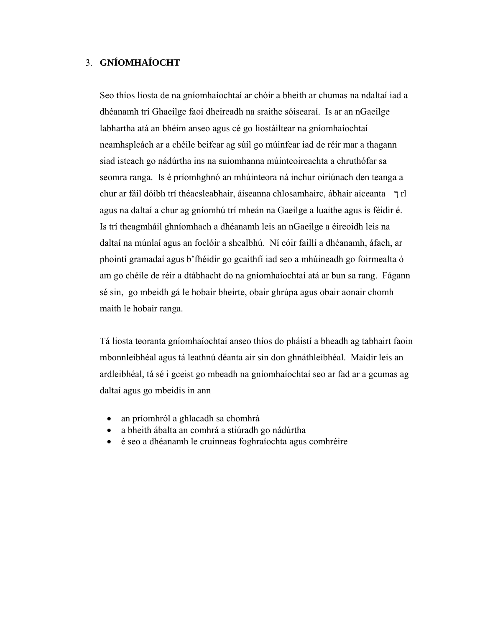# 3. **GNÍOMHAÍOCHT**

Seo thíos liosta de na gníomhaíochtaí ar chóir a bheith ar chumas na ndaltaí iad a dhéanamh trí Ghaeilge faoi dheireadh na sraithe sóisearaí. Is ar an nGaeilge labhartha atá an bhéim anseo agus cé go liostáiltear na gníomhaíochtaí neamhspleách ar a chéile beifear ag súil go múinfear iad de réir mar a thagann siad isteach go nádúrtha ins na suíomhanna múinteoireachta a chruthófar sa seomra ranga. Is é príomhghnó an mhúinteora ná inchur oiriúnach den teanga a chur ar fáil dóibh trí théacsleabhair, áiseanna chlosamhairc, ábhair aiceanta ך rl agus na daltaí a chur ag gníomhú trí mheán na Gaeilge a luaithe agus is féidir é. Is trí theagmháil ghníomhach a dhéanamh leis an nGaeilge a éireoidh leis na daltaí na múnlaí agus an foclóir a shealbhú. Ní cóir faillí a dhéanamh, áfach, ar phointí gramadaí agus b'fhéidir go gcaithfí iad seo a mhúineadh go foirmealta ó am go chéile de réir a dtábhacht do na gníomhaíochtaí atá ar bun sa rang. Fágann sé sin, go mbeidh gá le hobair bheirte, obair ghrúpa agus obair aonair chomh maith le hobair ranga.

Tá liosta teoranta gníomhaíochtaí anseo thíos do pháistí a bheadh ag tabhairt faoin mbonnleibhéal agus tá leathnú déanta air sin don ghnáthleibhéal. Maidir leis an ardleibhéal, tá sé i gceist go mbeadh na gníomhaíochtaí seo ar fad ar a gcumas ag daltaí agus go mbeidis in ann

- an príomhról a ghlacadh sa chomhrá
- a bheith ábalta an comhrá a stiúradh go nádúrtha
- é seo a dhéanamh le cruinneas foghraíochta agus comhréire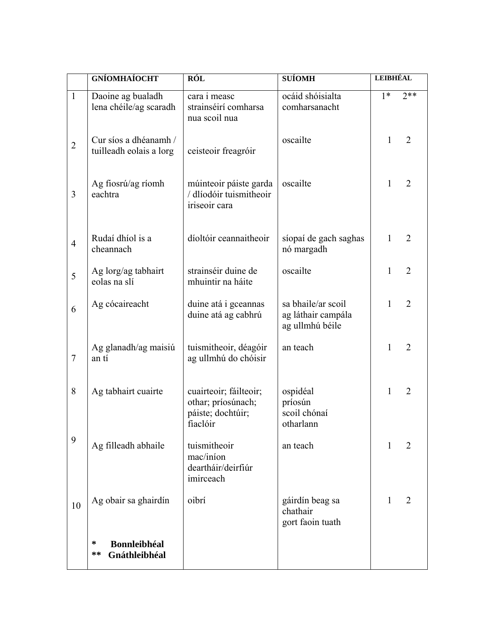|                | <b>GNÍOMHAÍOCHT</b>                              | <b>RÓL</b>                                                                    | <b>SUÍOMH</b>                                               | <b>LEIBHÉAL</b> |                |
|----------------|--------------------------------------------------|-------------------------------------------------------------------------------|-------------------------------------------------------------|-----------------|----------------|
| $\mathbf{1}$   | Daoine ag bualadh<br>lena chéile/ag scaradh      | cara i measc<br>strainséirí comharsa<br>nua scoil nua                         | ocáid shóisialta<br>comharsanacht                           | $1*$            | $2**$          |
| $\overline{2}$ | Cur síos a dhéanamh /<br>tuilleadh eolais a lorg | ceisteoir freagróir                                                           | oscailte                                                    | 1               | $\overline{2}$ |
| 3              | Ag fiosrú/ag ríomh<br>eachtra                    | múinteoir páiste garda<br>/ dlíodóir tuismitheoir<br>iriseoir cara            | oscailte                                                    | 1               | $\overline{2}$ |
| $\overline{4}$ | Rudaí dhíol is a<br>cheannach                    | díoltóir ceannaitheoir                                                        | síopaí de gach saghas<br>nó margadh                         | 1               | $\overline{2}$ |
| 5              | Ag lorg/ag tabhairt<br>eolas na slí              | strainséir duine de<br>mhuintir na háite                                      | oscailte                                                    | 1               | $\overline{2}$ |
| 6              | Ag cócaireacht                                   | duine atá i gceannas<br>duine atá ag cabhrú                                   | sa bhaile/ar scoil<br>ag láthair campála<br>ag ullmhú béile | 1               | $\overline{2}$ |
| $\overline{7}$ | Ag glanadh/ag maisiú<br>an tí                    | tuismitheoir, déagóir<br>ag ullmhú do chóisir                                 | an teach                                                    | 1               | $\overline{2}$ |
| 8              | Ag tabhairt cuairte                              | cuairteoir; fáilteoir;<br>othar; príosúnach;<br>páiste; dochtúir;<br>fiaclóir | ospidéal<br>príosún<br>scoil chónaí<br>otharlann            | 1               | $\overline{2}$ |
| 9              | Ag filleadh abhaile                              | tuismitheoir<br>mac/iníon<br>deartháir/deirfiúr<br>imirceach                  | an teach                                                    | 1               | $\overline{2}$ |
| 10             | Ag obair sa ghairdín                             | oibrí                                                                         | gáirdín beag sa<br>chathair<br>gort faoin tuath             | 1               | 2              |
|                | <b>Bonnleibhéal</b><br>∗<br>**<br>Gnáthleibhéal  |                                                                               |                                                             |                 |                |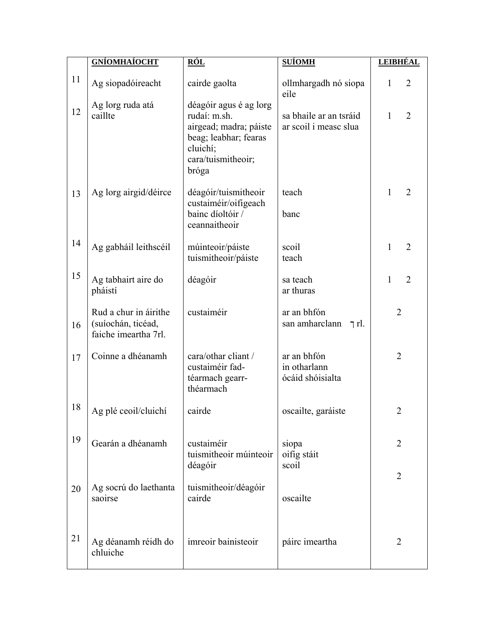|    | <b>GNÍOMHAÍOCHT</b>                                                 | <u>RÓL</u>                                                                                                                           | <b>SUÍOMH</b>                                   | <u>LEIBHÉAL</u>     |
|----|---------------------------------------------------------------------|--------------------------------------------------------------------------------------------------------------------------------------|-------------------------------------------------|---------------------|
| 11 | Ag siopadóireacht                                                   | cairde gaolta                                                                                                                        | ollmhargadh nó siopa<br>eile                    | $\overline{2}$<br>1 |
| 12 | Ag lorg ruda atá<br>caillte                                         | déagóir agus é ag lorg<br>rudaí: m.sh.<br>airgead; madra; páiste<br>beag; leabhar; fearas<br>cluichí;<br>cara/tuismitheoir;<br>bróga | sa bhaile ar an tsráid<br>ar scoil i measc slua | $\overline{2}$<br>1 |
| 13 | Ag lorg airgid/déirce                                               | déagóir/tuismitheoir<br>custaiméir/oifigeach<br>bainc díoltóir /<br>ceannaitheoir                                                    | teach<br>banc                                   | $\mathbf{1}$<br>2   |
| 14 | Ag gabháil leithscéil                                               | múinteoir/páiste<br>tuismitheoir/páiste                                                                                              | scoil<br>teach                                  | $\overline{2}$<br>1 |
| 15 | Ag tabhairt aire do<br>pháistí                                      | déagóir                                                                                                                              | sa teach<br>ar thuras                           | $\overline{2}$<br>1 |
| 16 | Rud a chur in áirithe<br>(suíochán, ticéad,<br>faiche imeartha 7rl. | custaiméir                                                                                                                           | ar an bhfón<br>san amharclann<br>ת ך $\ln$      | $\overline{2}$      |
| 17 | Coinne a dhéanamh                                                   | cara/othar cliant /<br>custaiméir fad-<br>téarmach gearr-<br>théarmach                                                               | ar an bhfón<br>in otharlann<br>ócáid shóisialta | $\overline{2}$      |
| 18 | Ag plé ceoil/cluichí                                                | cairde                                                                                                                               | oscailte, garáiste                              | 2                   |
| 19 | Gearán a dhéanamh                                                   | custaiméir<br>tuismitheoir múinteoir                                                                                                 | siopa<br>oifig stáit                            | $\overline{2}$      |
| 20 | Ag socrú do laethanta                                               | déagóir<br>tuismitheoir/déagóir                                                                                                      | scoil                                           | $\overline{2}$      |
|    | saoirse                                                             | cairde                                                                                                                               | oscailte                                        |                     |
| 21 | Ag déanamh réidh do<br>chluiche                                     | imreoir bainisteoir                                                                                                                  | páirc imeartha                                  | 2                   |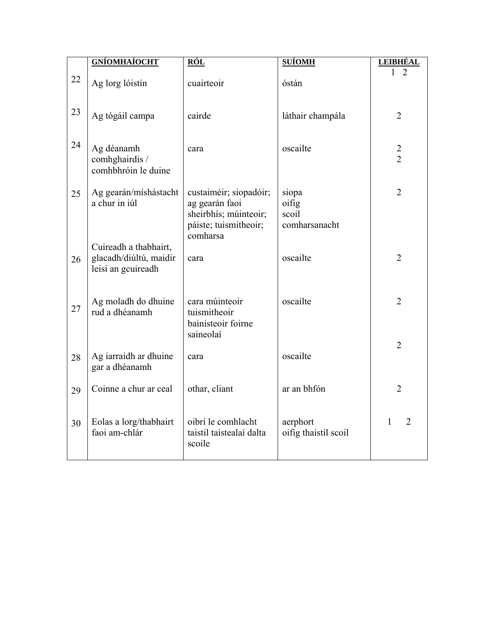|    | <b>GNÍOMHAÍOCHT</b>                                                   | <u>RÓL</u>                                                                                             | <b>SUÍOMH</b>                            | <u>LEIBHÉAL</u>                  |
|----|-----------------------------------------------------------------------|--------------------------------------------------------------------------------------------------------|------------------------------------------|----------------------------------|
| 22 | Ag lorg lóistín                                                       | cuairteoir                                                                                             | óstán                                    |                                  |
| 23 | Ag tógáil campa                                                       | cairde                                                                                                 | láthair champála                         | $\overline{2}$                   |
| 24 | Ag déanamh<br>comhghairdis /<br>comhbhróin le duine                   | cara                                                                                                   | oscailte                                 | $\overline{2}$<br>$\overline{2}$ |
| 25 | Ag gearán/míshástacht<br>a chur in iúl                                | custaiméir; siopadóir;<br>ag gearán faoi<br>sheirbhís; múinteoir;<br>páiste; tuismitheoir;<br>comharsa | siopa<br>oifig<br>scoil<br>comharsanacht | $\overline{2}$                   |
| 26 | Cuireadh a thabhairt,<br>glacadh/diúltú, maidir<br>leisi an gcuireadh | cara                                                                                                   | oscailte                                 | $\overline{2}$                   |
| 27 | Ag moladh do dhuine<br>rud a dhéanamh                                 | cara múinteoir<br>tuismitheoir<br>bainisteoir foirne<br>saineolaí                                      | oscailte                                 | $\overline{2}$                   |
| 28 | Ag iarraidh ar dhuine<br>gar a dhéanamh                               | cara                                                                                                   | oscailte                                 | $\overline{2}$                   |
| 29 | Coinne a chur ar ceal                                                 | othar, cliant                                                                                          | ar an bhfón                              | $\overline{2}$                   |
| 30 | Eolas a lorg/thabhairt<br>faoi am-chlár                               | oibrí le comhlacht<br>taistil taistealaí dalta<br>scoile                                               | aerphort<br>oifig thaistil scoil         | $\overline{2}$<br>1              |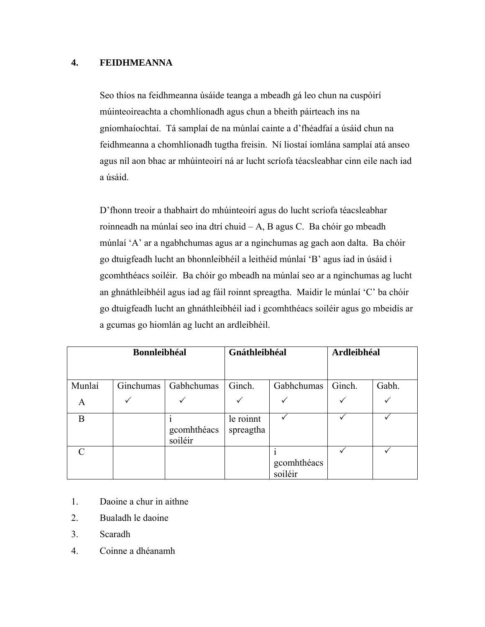## **4. FEIDHMEANNA**

Seo thíos na feidhmeanna úsáide teanga a mbeadh gá leo chun na cuspóirí múinteoireachta a chomhlíonadh agus chun a bheith páirteach ins na gníomhaíochtaí. Tá samplaí de na múnlaí cainte a d'fhéadfaí a úsáid chun na feidhmeanna a chomhlíonadh tugtha freisin. Ní liostaí iomlána samplaí atá anseo agus níl aon bhac ar mhúinteoirí ná ar lucht scríofa téacsleabhar cinn eile nach iad a úsáid.

D'fhonn treoir a thabhairt do mhúinteoirí agus do lucht scríofa téacsleabhar roinneadh na múnlaí seo ina dtrí chuid – A, B agus C. Ba chóir go mbeadh múnlaí 'A' ar a ngabhchumas agus ar a nginchumas ag gach aon dalta. Ba chóir go dtuigfeadh lucht an bhonnleibhéil a leithéid múnlaí 'B' agus iad in úsáid i gcomhthéacs soiléir. Ba chóir go mbeadh na múnlaí seo ar a nginchumas ag lucht an ghnáthleibhéil agus iad ag fáil roinnt spreagtha. Maidir le múnlaí 'C' ba chóir go dtuigfeadh lucht an ghnáthleibhéil iad i gcomhthéacs soiléir agus go mbeidís ar a gcumas go hiomlán ag lucht an ardleibhéil.

| <b>Bonnleibhéal</b> |           |                        | Gnáthleibhéal          |                        | Ardleibhéal |       |
|---------------------|-----------|------------------------|------------------------|------------------------|-------------|-------|
|                     |           |                        |                        |                        |             |       |
| Munlaí              | Ginchumas | Gabhchumas             | Ginch.                 | Gabhchumas             | Ginch.      | Gabh. |
| A                   |           |                        |                        |                        |             |       |
| B                   |           | gcomhthéacs<br>soiléir | le roinnt<br>spreagtha |                        |             |       |
| $\subset$           |           |                        |                        | gcomhthéacs<br>soiléir |             |       |

- 1. Daoine a chur in aithne
- 2. Bualadh le daoine
- 3. Scaradh
- 4. Coinne a dhéanamh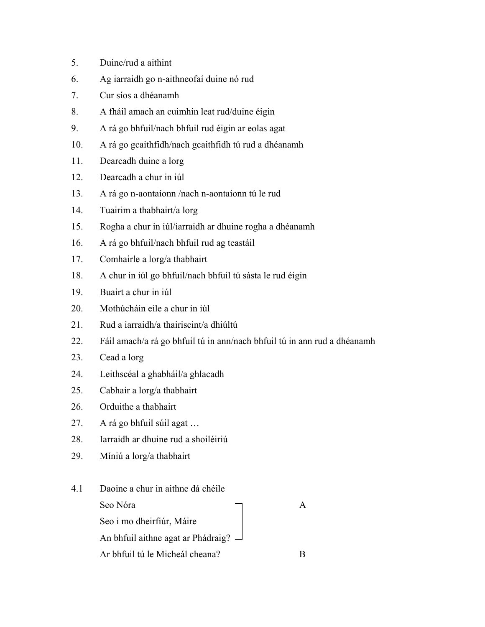- 5. Duine/rud a aithint
- 6. Ag iarraidh go n-aithneofaí duine nó rud
- 7. Cur síos a dhéanamh
- 8. A fháil amach an cuimhin leat rud/duine éigin
- 9. A rá go bhfuil/nach bhfuil rud éigin ar eolas agat
- 10. A rá go gcaithfidh/nach gcaithfidh tú rud a dhéanamh
- 11. Dearcadh duine a lorg
- 12. Dearcadh a chur in iúl
- 13. A rá go n-aontaíonn /nach n-aontaíonn tú le rud
- 14. Tuairim a thabhairt/a lorg
- 15. Rogha a chur in iúl/iarraidh ar dhuine rogha a dhéanamh
- 16. A rá go bhfuil/nach bhfuil rud ag teastáil
- 17. Comhairle a lorg/a thabhairt
- 18. A chur in iúl go bhfuil/nach bhfuil tú sásta le rud éigin
- 19. Buairt a chur in iúl
- 20. Mothúcháin eile a chur in iúl
- 21. Rud a iarraidh/a thairiscint/a dhiúltú
- 22. Fáil amach/a rá go bhfuil tú in ann/nach bhfuil tú in ann rud a dhéanamh
- 23. Cead a lorg
- 24. Leithscéal a ghabháil/a ghlacadh
- 25. Cabhair a lorg/a thabhairt
- 26. Orduithe a thabhairt
- 27. A rá go bhfuil súil agat …
- 28. Iarraidh ar dhuine rud a shoiléiriú
- 29. Míniú a lorg/a thabhairt

# 4.1 Daoine a chur in aithne dá chéile

| Seo Nóra                                  |  |
|-------------------------------------------|--|
| Seo i mo dheirfiúr, Máire                 |  |
| An bhfuil aithne agat ar Phádraig? $\Box$ |  |
| Ar bhfuil tú le Micheál cheana?           |  |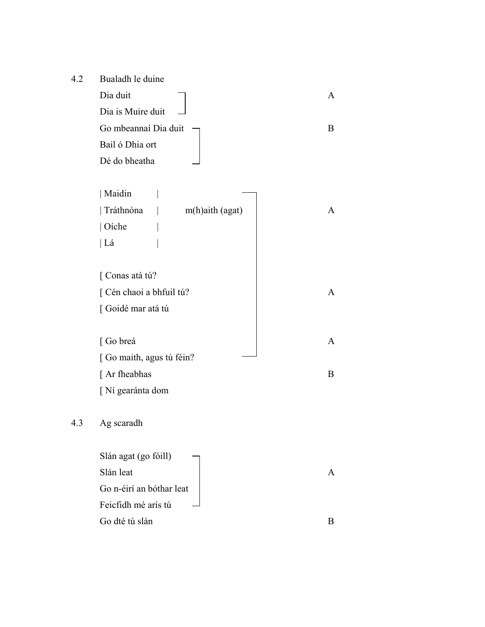4.2 Bualadh le duine Dia duit and  $\Box$  A Dia is Muire duit Go mbeannaí Dia duit  $\Box$ Bail ó Dhia ort Dé do bheatha

| Maidin                    |                    |              |
|---------------------------|--------------------|--------------|
| Tráthnóna                 | $m(h)$ aith (agat) | $\mathsf{A}$ |
| $\vert$ Oíche             |                    |              |
| Lá                        |                    |              |
|                           |                    |              |
| [Conas atá tú?            |                    |              |
| [Cén chaoi a bhfuil tú?   |                    | A            |
| [Goidé mar atá tú         |                    |              |
|                           |                    |              |
| [Go breá                  |                    | A            |
| [ Go maith, agus tú féin? |                    |              |
| [ Ar fheabhas             |                    | В            |
| [Ní gearánta dom          |                    |              |

# 4.3 Ag scaradh

| Slán agat (go fóill)     |  |
|--------------------------|--|
| Slán leat                |  |
| Go n-éirí an bóthar leat |  |
| Feicfidh mé arís tú      |  |
| Go dté tú slán           |  |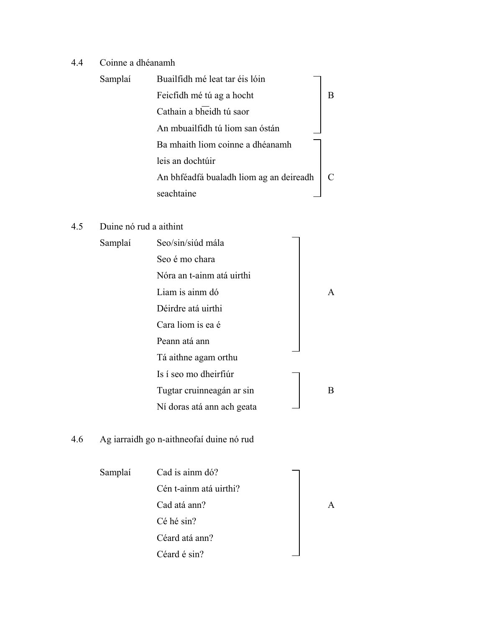# 4.4 Coinne a dhéanamh

| Samplaí | Buailfidh mé leat tar éis lóin          |   |
|---------|-----------------------------------------|---|
|         | Feicfidh mé tú ag a hocht               | B |
|         | Cathain a bheidh tú saor                |   |
|         | An mbuailfidh tú liom san óstán         |   |
|         | Ba mhaith liom coinne a dhéanamh        |   |
|         | leis an dochtúir                        |   |
|         | An bhféadfá bualadh liom ag an deireadh |   |
|         | seachtaine                              |   |

# 4.5 Duine nó rud a aithint

| Samplaí | Seo/sin/siúd mála          |   |
|---------|----------------------------|---|
|         | Seo é mo chara             |   |
|         | Nóra an t-ainm atá uirthi  |   |
|         | Liam is ainm dó            | A |
|         | Déirdre atá uirthi         |   |
|         | Cara liom is ea é          |   |
|         | Peann atá ann              |   |
|         | Tá aithne agam orthu       |   |
|         | Is í seo mo dheirfiúr      |   |
|         | Tugtar cruinneagán ar sin  | B |
|         | Ní doras atá ann ach geata |   |
|         |                            |   |

# 4.6 Ag iarraidh go n-aithneofaí duine nó rud

| Samplaí | Cad is ainm dó?        |  |
|---------|------------------------|--|
|         | Cén t-ainm atá uirthi? |  |
|         | Cad atá ann?           |  |
|         | Cé hé sin?             |  |
|         | Céard atá ann?         |  |
|         | Céard é sin?           |  |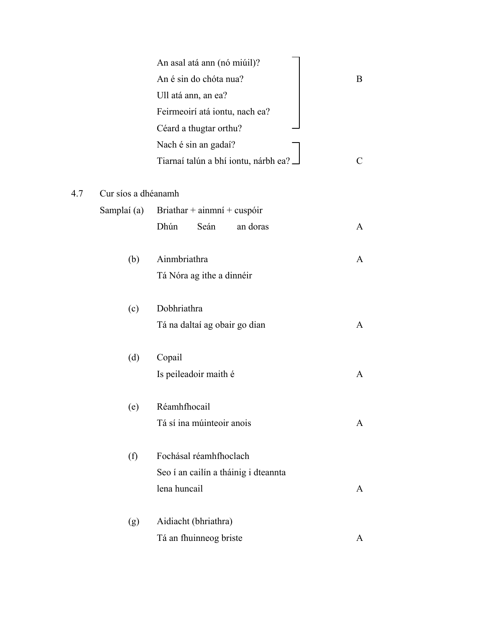|             | An asal atá ann (nó miúil)?          |                                                                                                                         |
|-------------|--------------------------------------|-------------------------------------------------------------------------------------------------------------------------|
|             | An é sin do chóta nua?               | B                                                                                                                       |
|             | Ull atá ann, an ea?                  |                                                                                                                         |
|             | Feirmeoirí atá iontu, nach ea?       |                                                                                                                         |
|             | Céard a thugtar orthu?               |                                                                                                                         |
|             | Nach é sin an gadaí?                 |                                                                                                                         |
|             | Tiarnaí talún a bhí iontu, nárbh ea? | C                                                                                                                       |
|             |                                      |                                                                                                                         |
| Samplaí (a) | Briathar + ainmní + cuspóir          |                                                                                                                         |
|             | Dhún<br>Seán<br>an doras             | A                                                                                                                       |
| (b)         | Ainmbriathra                         | A                                                                                                                       |
|             | Tá Nóra ag ithe a dinnéir            |                                                                                                                         |
| (c)         | Dobhriathra                          |                                                                                                                         |
|             | Tá na daltaí ag obair go dian        | A                                                                                                                       |
|             |                                      |                                                                                                                         |
|             | Is peileadoir maith é                | A                                                                                                                       |
| (e)         | Réamhfhocail                         |                                                                                                                         |
|             | Tá sí ina múinteoir anois            | A                                                                                                                       |
|             | Fochásal réamhfhoclach               |                                                                                                                         |
|             |                                      |                                                                                                                         |
|             | lena huncail                         | A                                                                                                                       |
|             |                                      |                                                                                                                         |
|             |                                      | A                                                                                                                       |
|             | (d)<br>(f)<br>(g)                    | Cur síos a dhéanamh<br>Copail<br>Seo í an cailín a tháinig i dteannta<br>Aidiacht (bhriathra)<br>Tá an fhuinneog briste |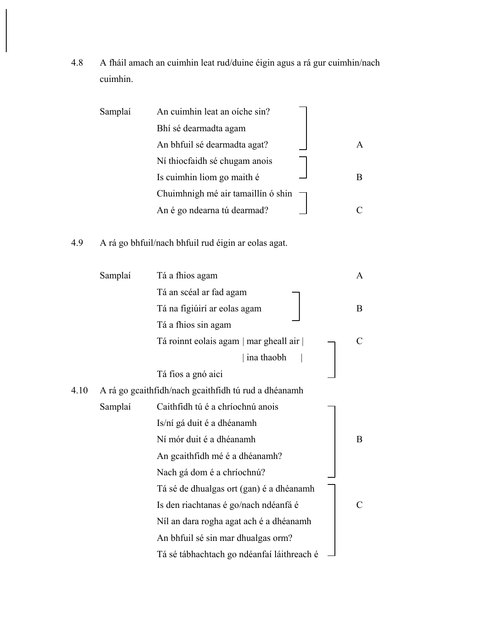4.8 A fháil amach an cuimhin leat rud/duine éigin agus a rá gur cuimhin/nach cuimhin.

| Samplaí | An cuimhin leat an oíche sin?      |  |
|---------|------------------------------------|--|
|         | Bhí sé dearmadta agam              |  |
|         | An bhfuil sé dearmadta agat?       |  |
|         | Ní thiocfaidh sé chugam anois      |  |
|         | Is cuimhin liom go maith é         |  |
|         | Chuimhnigh mé air tamaillín ó shin |  |
|         | An é go ndearna tú dearmad?        |  |

# 4.9 A rá go bhfuil/nach bhfuil rud éigin ar eolas agat.

|      | Samplaí | Tá a fhios agam                                      | A |
|------|---------|------------------------------------------------------|---|
|      |         | Tá an scéal ar fad agam                              |   |
|      |         | Tá na figiúirí ar eolas agam                         | B |
|      |         | Tá a fhios sin agam                                  |   |
|      |         | Tá roinnt eolais agam   mar gheall air               | C |
|      |         | ina thaobh                                           |   |
|      |         | Tá fios a gnó aici                                   |   |
| 4.10 |         | A rá go gcaithfidh/nach gcaithfidh tú rud a dhéanamh |   |
|      | Samplaí | Caithfidh tú é a chríochnú anois                     |   |
|      |         | Is/ní gá duit é a dhéanamh                           |   |
|      |         | Ní mór duit é a dhéanamh                             | B |
|      |         | An gcaithfidh mé é a dhéanamh?                       |   |
|      |         | Nach gá dom é a chríochnú?                           |   |
|      |         | Tá sé de dhualgas ort (gan) é a dhéanamh             |   |
|      |         | Is den riachtanas é go/nach ndéanfá é                | C |
|      |         | Níl an dara rogha agat ach é a dhéanamh              |   |
|      |         | An bhfuil sé sin mar dhualgas orm?                   |   |
|      |         | Tá sé tábhachtach go ndéanfaí láithreach é           |   |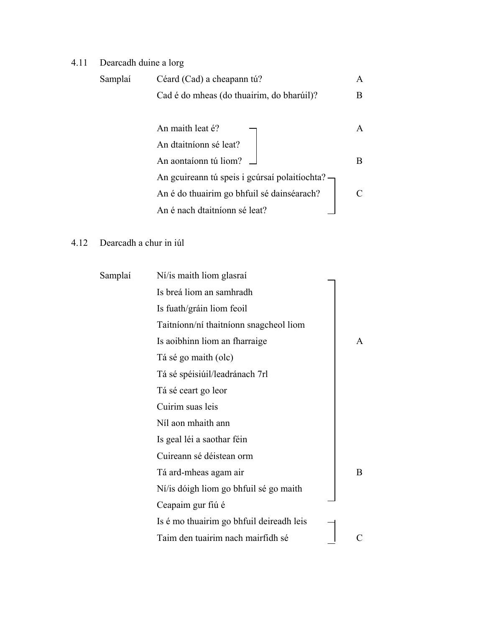# 4.11 Dearcadh duine a lorg

| Samplaí | Céard (Cad) a cheapann tú?                      | A |
|---------|-------------------------------------------------|---|
|         | Cad é do mheas (do thuairim, do bharúil)?       | B |
|         |                                                 |   |
|         | An maith leat é?                                | A |
|         | An dtaitníonn sé leat?                          |   |
|         | An aontaíonn tú liom?                           | B |
|         | An gcuireann tú speis i gcúrsaí polaitíochta? — |   |
|         | An é do thuairim go bhfuil sé dainséarach?      |   |
|         | An é nach dtaitníonn sé leat?                   |   |

# 4.12 Dearcadh a chur in iúl

| Samplaí | Ní/is maith liom glasraí                 |   |
|---------|------------------------------------------|---|
|         | Is breá liom an samhradh                 |   |
|         | Is fuath/gráin liom feoil                |   |
|         | Taitníonn/ní thaitníonn snagcheol liom   |   |
|         | Is a oibhinn liom an fharraige           | A |
|         | Tá sé go maith (olc)                     |   |
|         | Tá sé spéisiúil/leadránach 7rl           |   |
|         | Tá sé ceart go leor                      |   |
|         | Cuirim suas leis                         |   |
|         | Níl aon mhaith ann                       |   |
|         | Is geal léi a saothar féin               |   |
|         | Cuireann sé déistean orm                 |   |
|         | Tá ard-mheas agam air                    | B |
|         | Ní/is dóigh liom go bhfuil sé go maith   |   |
|         | Ceapaim gur fiú é                        |   |
|         | Is é mo thuairim go bhfuil deireadh leis |   |
|         | Taim den tuairim nach mairfidh sé        |   |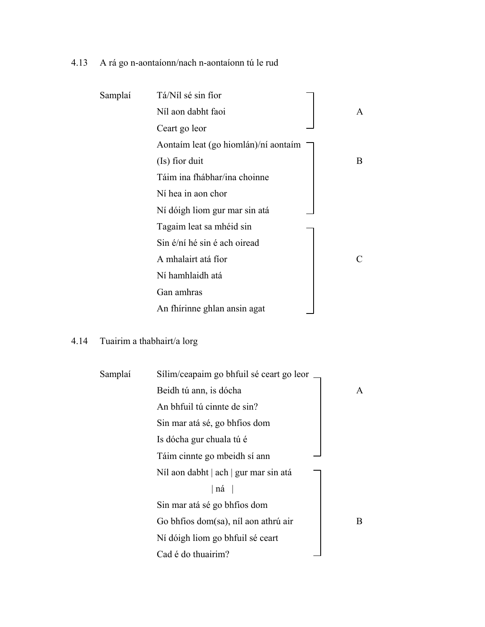# 4.13 A rá go n-aontaíonn/nach n-aontaíonn tú le rud

| Samplaí | Tá/Níl sé sin fíor                   |   |
|---------|--------------------------------------|---|
|         | Níl aon dabht faoi                   | A |
|         | Ceart go leor                        |   |
|         | Aontaim leat (go hiomlán)/ní aontaim |   |
|         | (Is) fior duit                       | B |
|         | Táim ina fhábhar/ina choinne         |   |
|         | Ní hea in aon chor                   |   |
|         | Ní dóigh liom gur mar sin atá        |   |
|         | Tagaim leat sa mhéid sin             |   |
|         | Sin é/ní hé sin é ach oiread         |   |
|         | A mhalairt atá fíor                  |   |
|         | Ní hamhlaidh atá                     |   |
|         | Gan amhras                           |   |
|         | An fhírinne ghlan ansin agat         |   |

# 4.14 Tuairim a thabhairt/a lorg

| Samplaí | Sílim/ceapaim go bhfuil sé ceart go leor |   |
|---------|------------------------------------------|---|
|         | Beidh tú ann, is dócha                   | A |
|         | An bhfuil tú cinnte de sin?              |   |
|         | Sin mar atá sé, go bhfios dom            |   |
|         | Is dócha gur chuala tú é                 |   |
|         | Táim cinnte go mbeidh sí ann             |   |
|         | Níl aon dabht   ach   gur mar sin atá    |   |
|         | ná                                       |   |
|         | Sin mar atá sé go bhfios dom             |   |
|         | Go bhfios dom(sa), níl aon athrú air     | В |
|         | Ní dóigh liom go bhfuil sé ceart         |   |
|         | Cad é do thuairim?                       |   |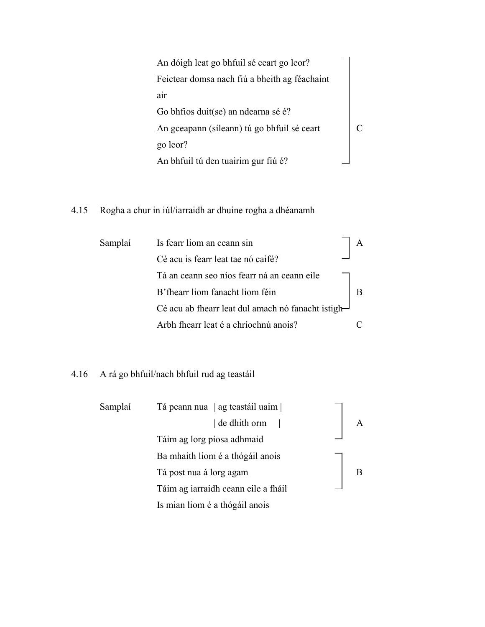An dóigh leat go bhfuil sé ceart go leor? Feictear domsa nach fiú a bheith ag féachaint air Go bhfios duit(se) an ndearna sé é? An gceapann (síleann) tú go bhfuil sé ceart C go leor? An bhfuil tú den tuairim gur fiú é?

# 4.15 Rogha a chur in iúl/iarraidh ar dhuine rogha a dhéanamh

| Samplaí | Is fearr liom an ceann sin                                      |  |
|---------|-----------------------------------------------------------------|--|
|         | Cé acu is fearr leat tae nó caifé?                              |  |
|         | Tá an ceann seo níos fearr ná an ceann eile                     |  |
|         | B'fhearr liom fanacht liom féin                                 |  |
|         | Cé acu ab fhearr leat dul amach nó fanacht istigh $\rightarrow$ |  |
|         | Arbh fhearr leat é a chríochnú anois?                           |  |

# 4.16 A rá go bhfuil/nach bhfuil rud ag teastáil

| Samplaí | Tá peann nua   ag teastáil uaim     |  |
|---------|-------------------------------------|--|
|         | de dhith orm                        |  |
|         | Táim ag lorg píosa adhmaid          |  |
|         | Ba mhaith liom é a thógáil anois    |  |
|         | Tá post nua á lorg agam             |  |
|         | Táim ag iarraidh ceann eile a fháil |  |
|         | Is mian liom é a thógáil anois      |  |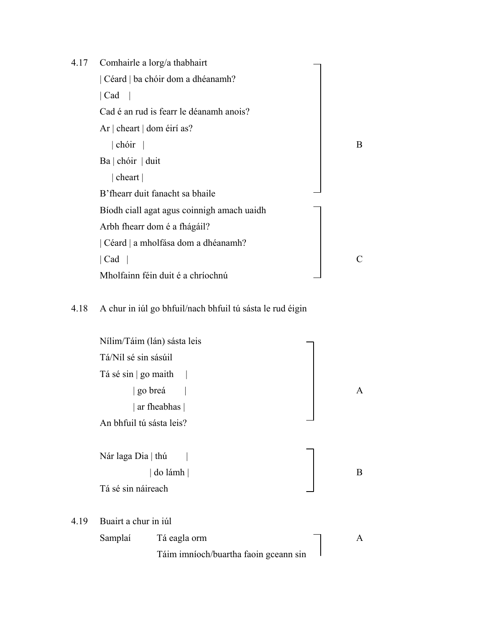| 4.17 | Comhairle a lorg/a thabhairt               |              |
|------|--------------------------------------------|--------------|
|      | Céard   ba chóir dom a dhéanamh?           |              |
|      | Cad                                        |              |
|      | Cad é an rud is fearr le déanamh anois?    |              |
|      | Ar $ $ cheart $ $ dom éirí as?             |              |
|      | chóir                                      | <sub>B</sub> |
|      | $Ba \mid chóir \mid duit$                  |              |
|      | cheart                                     |              |
|      | B'fhearr duit fanacht sa bhaile            |              |
|      | Bíodh ciall agat agus coinnigh amach uaidh |              |
|      | Arbh fhearr dom é a fhágáil?               |              |
|      | Céard   a mholfása dom a dhéanamh?         |              |
|      | Cad                                        | $\subset$    |
|      | Mholfainn féin duit é a chríochnú          |              |

# 4.18 A chur in iúl go bhfuil/nach bhfuil tú sásta le rud éigin

|      | Nílim/Táim (lán) sásta leis |                                       |              |
|------|-----------------------------|---------------------------------------|--------------|
|      | Tá/Níl sé sin sásúil        |                                       |              |
|      | Tá sé sin   go maith        |                                       |              |
|      | go breá                     |                                       | $\mathsf{A}$ |
|      |                             | ar fheabhas                           |              |
|      | An bhfuil tú sásta leis?    |                                       |              |
|      |                             |                                       |              |
|      | Nár laga Dia   thú          |                                       |              |
|      |                             | do lámh                               | B            |
|      | Tá sé sin náireach          |                                       |              |
|      |                             |                                       |              |
| 4.19 | Buairt a chur in iúl        |                                       |              |
|      | Samplaí                     | Tá eagla orm                          | $\mathsf{A}$ |
|      |                             | Táim imníoch/buartha faoin gceann sin |              |
|      |                             |                                       |              |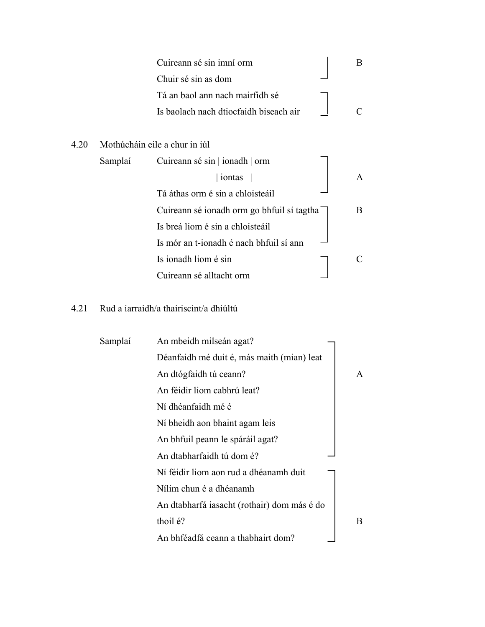|      |         | Cuireann sé sin imní orm                   | B |
|------|---------|--------------------------------------------|---|
|      |         | Chuir sé sin as dom                        |   |
|      |         | Tá an baol ann nach mairfidh sé            |   |
|      |         | Is baolach nach dtiocfaidh biseach air     |   |
|      |         |                                            |   |
| 4.20 |         | Mothúcháin eile a chur in iúl              |   |
|      | Samplaí | Cuireann sé sin   ionadh   orm             |   |
|      |         | iontas                                     | A |
|      |         | Tá áthas orm é sin a chloisteáil           |   |
|      |         | Cuireann sé ionadh orm go bhfuil sí tagtha | B |
|      |         | Is breá liom é sin a chloisteáil           |   |
|      |         | Is mór an t-ionadh é nach bhfuil sí ann    |   |
|      |         | Is ionadh liom é sin                       |   |
|      |         | Cuireann sé alltacht orm                   |   |

# 4.21 Rud a iarraidh/a thairiscint/a dhiúltú

| Samplaí | An mbeidh milseán agat?                     |   |
|---------|---------------------------------------------|---|
|         | Déanfaidh mé duit é, más maith (mian) leat  |   |
|         | An dtógfaidh tú ceann?                      | A |
|         | An féidir liom cabhrú leat?                 |   |
|         | Ní dhéanfaidh mé é                          |   |
|         | Ní bheidh aon bhaint agam leis              |   |
|         | An bhfuil peann le spáráil agat?            |   |
|         | An dtabharfaidh tú dom é?                   |   |
|         | Ní féidir liom aon rud a dhéanamh duit      |   |
|         | Nílim chun é a dhéanamh                     |   |
|         | An dtabharfá iasacht (rothair) dom más é do |   |
|         | thoil é?                                    | B |
|         | An bhféadfá ceann a thabhairt dom?          |   |
|         |                                             |   |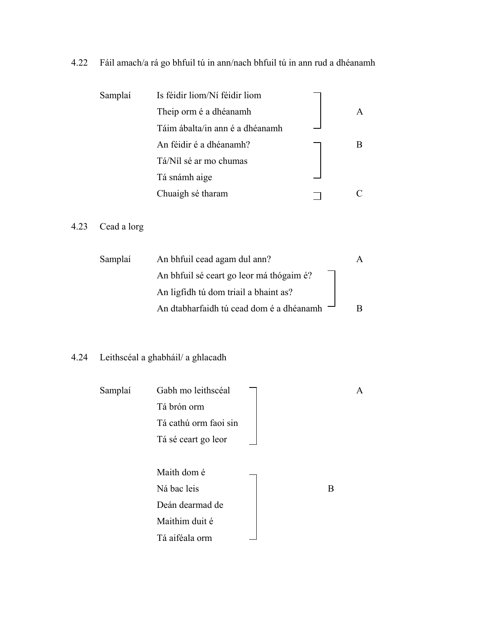# 4.22 Fáil amach/a rá go bhfuil tú in ann/nach bhfuil tú in ann rud a dhéanamh

| Samplaí | Is féidir liom/Ní féidir liom   |  |
|---------|---------------------------------|--|
|         | Theip orm é a dhéanamh          |  |
|         | Táim ábalta/in ann é a dhéanamh |  |
|         | An féidir é a dhéanamh?         |  |
|         | Tá/Níl sé ar mo chumas          |  |
|         | Tá snámh aige                   |  |
|         | Chuaigh sé tharam               |  |

# 4.23 Cead a lorg

| Samplaí | An bhfuil cead agam dul ann?               |  |
|---------|--------------------------------------------|--|
|         | An bhfuil sé ceart go leor má thógaim é?   |  |
|         | An ligfidh tú dom triail a bhaint as?      |  |
|         | An dtabharfaidh tú cead dom é a dhéanamh - |  |

# 4.24 Leithscéal a ghabháil/ a ghlacadh

| Samplaí | Gabh mo leithscéal    |   | A |
|---------|-----------------------|---|---|
|         | Tá brón orm           |   |   |
|         | Tá cathú orm faoi sin |   |   |
|         | Tá sé ceart go leor   |   |   |
|         |                       |   |   |
|         | Maith dom é           |   |   |
|         | Ná bac leis           | B |   |
|         | Deán dearmad de       |   |   |
|         | Maithim duit é        |   |   |
|         | Tá aiféala orm        |   |   |
|         |                       |   |   |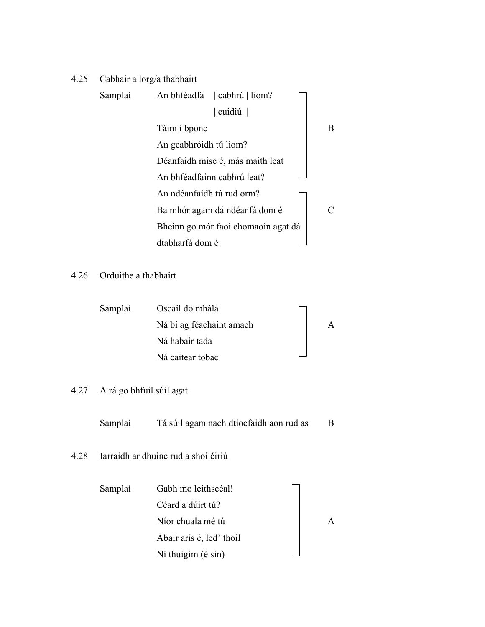# 4.25 Cabhair a lorg/a thabhairt

| Samplaí | cabhrú   liom?<br>An bhféadfá       |   |
|---------|-------------------------------------|---|
|         | cuidiú $ $                          |   |
|         | Táim i bponc                        | B |
|         | An gcabhróidh tú liom?              |   |
|         | Déanfaidh mise é, más maith leat    |   |
|         | An bhféadfainn cabhrú leat?         |   |
|         | An ndéanfaidh tú rud orm?           |   |
|         | Ba mhór agam dá ndéanfá dom é       |   |
|         | Bheinn go mór faoi chomaoin agat dá |   |
|         | dtabharfá dom é                     |   |
|         |                                     |   |

# 4.26 Orduithe a thabhairt

| Samplaí | Oscail do mhála          |  |
|---------|--------------------------|--|
|         | Ná bí ag féachaint amach |  |
|         | Ná habair tada           |  |
|         | Ná caitear tobac         |  |

# 4.27 A rá go bhfuil súil agat

Samplaí Tá súil agam nach dtiocfaidh aon rud as B

# 4.28 Iarraidh ar dhuine rud a shoiléiriú

| Samplaí | Gabh mo leithscéal!      |  |
|---------|--------------------------|--|
|         | Céard a dúirt tú?        |  |
|         | Níor chuala mé tú        |  |
|         | Abair arís é, led' thoil |  |
|         | Ní thuigim (é sin)       |  |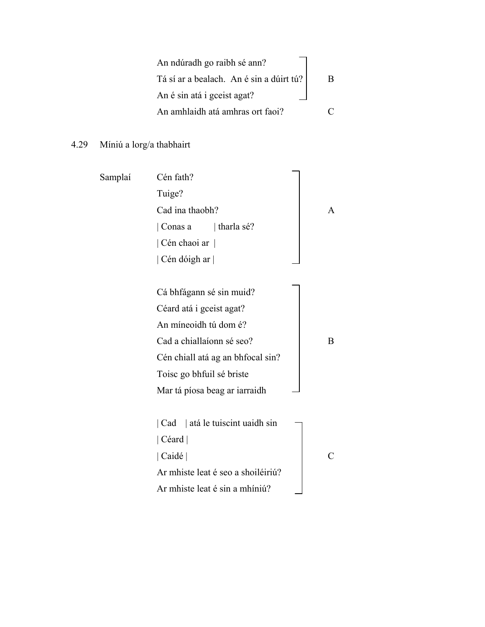| An ndúradh go raibh sé ann?              |   |
|------------------------------------------|---|
| Tá sí ar a bealach. An é sin a dúirt tú? | R |
| An é sin atá i gceist agat?              |   |
| An amhlaidh atá amhras ort faoi?         |   |

4.29 Míniú a lorg/a thabhairt

| Samplaí | Cén fath?                          |   |
|---------|------------------------------------|---|
|         | Tuige?                             |   |
|         | Cad ina thaobh?                    |   |
|         | $\vert$ Conas a $\vert$ tharla sé? |   |
|         | Cén chaoi ar                       |   |
|         | Cén dóigh ar                       |   |
|         |                                    |   |
|         | Cá bhfágann sé sin muid?           |   |
|         | Céard atá i gceist agat?           |   |
|         | An míneoidh tú dom é?              |   |
|         | Cad a chiallaíonn sé seo?          | B |
|         | Cén chiall atá ag an bhfocal sin?  |   |
|         | Toisc go bhfuil sé briste          |   |
|         | Mar tá píosa beag ar iarraidh      |   |
|         |                                    |   |
|         | Cad   atá le tuiscint uaidh sin    |   |
|         | Céard                              |   |
|         | Caidé                              |   |
|         | Ar mhiste leat é seo a shoiléiriú? |   |
|         | Ar mhiste leat é sin a mhíniú?     |   |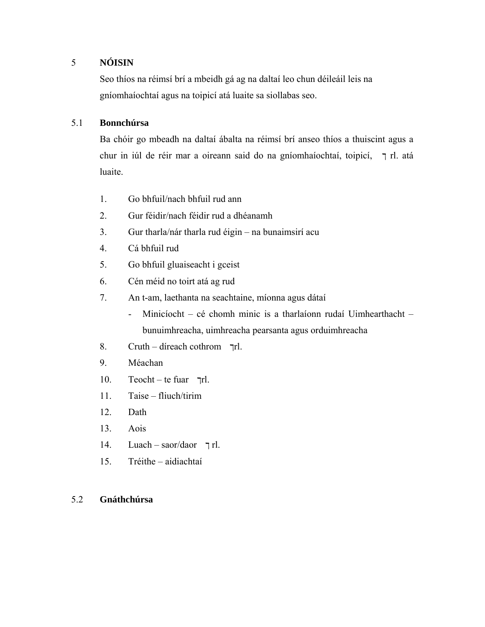# 5 **NÓISIN**

Seo thíos na réimsí brí a mbeidh gá ag na daltaí leo chun déileáil leis na gníomhaíochtaí agus na toipicí atá luaite sa siollabas seo.

## 5.1 **Bonnchúrsa**

Ba chóir go mbeadh na daltaí ábalta na réimsí brí anseo thíos a thuiscint agus a chur in iúl de réir mar a oireann said do na gníomhaíochtaí, toipicí, ך rl. atá luaite.

- 1. Go bhfuil/nach bhfuil rud ann
- 2. Gur féidir/nach féidir rud a dhéanamh
- 3. Gur tharla/nár tharla rud éigin na bunaimsirí acu
- 4. Cá bhfuil rud
- 5. Go bhfuil gluaiseacht i gceist
- 6. Cén méid no toirt atá ag rud
- 7. An t-am, laethanta na seachtaine, míonna agus dátaí
	- Minicíocht cé chomh minic is a tharlaíonn rudaí Uimhearthacht bunuimhreacha, uimhreacha pearsanta agus orduimhreacha
- 8. Cruth díreach cothrom ךrl.
- 9. Méachan
- 10. Teocht te fuar  $\pi$ rl.
- 11. Taise fliuch/tirim
- 12. Dath
- 13. Aois
- 14. Luach saor/daor ך rl.
- 15. Tréithe aidiachtaí

## 5.2 **Gnáthchúrsa**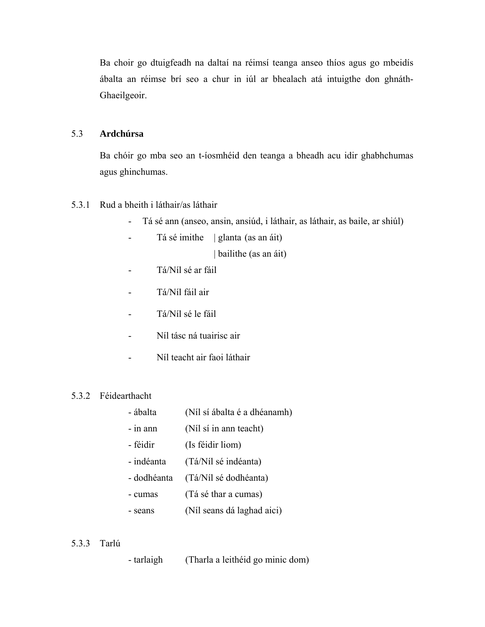Ba choir go dtuigfeadh na daltaí na réimsí teanga anseo thíos agus go mbeidís ábalta an réimse brí seo a chur in iúl ar bhealach atá intuigthe don ghnáth-Ghaeilgeoir.

### 5.3 **Ardchúrsa**

Ba chóir go mba seo an t-íosmhéid den teanga a bheadh acu idir ghabhchumas agus ghinchumas.

### 5.3.1 Rud a bheith i láthair/as láthair

- Tá sé ann (anseo, ansin, ansiúd, i láthair, as láthair, as baile, ar shiúl)
- Tá sé imithe | glanta (as an áit)

| bailithe (as an áit)

- Tá/Níl sé ar fáil
- Tá/Níl fáil air
- Tá/Níl sé le fáil
- Níl tásc ná tuairisc air
- Níl teacht air faoi láthair

## 5.3.2 Féidearthacht

- ábalta (Níl sí ábalta é a dhéanamh)
- in ann (Níl sí in ann teacht)
- féidir (Is féidir liom)
- indéanta (Tá/Níl sé indéanta)
- dodhéanta (Tá/Níl sé dodhéanta)
- cumas (Tá sé thar a cumas)
- seans (Níl seans dá laghad aici)

## 5.3.3 Tarlú

- tarlaigh (Tharla a leithéid go minic dom)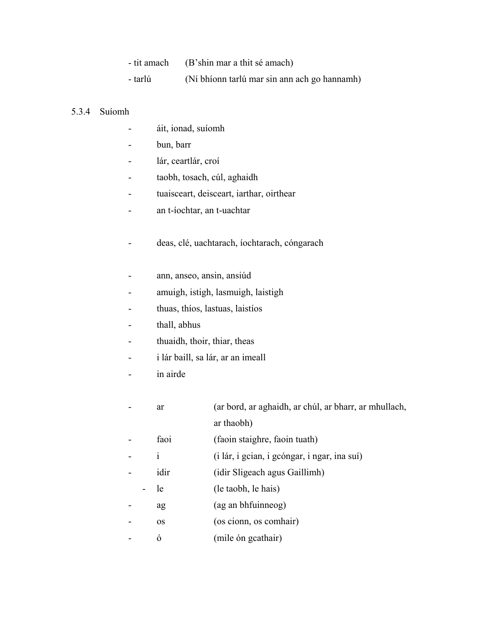|         | - tit amach (B'shin mar a thit sé amach)     |
|---------|----------------------------------------------|
| - tarlú | (Ní bhíonn tarlú mar sin ann ach go hannamh) |

#### 5.3.4 Suíomh

- áit, ionad, suíomh
- bun, barr
- lár, ceartlár, croí
- taobh, tosach, cúl, aghaidh
- tuaisceart, deisceart, iarthar, oirthear
- an t-íochtar, an t-uachtar
- deas, clé, uachtarach, íochtarach, cóngarach
- ann, anseo, ansin, ansiúd
- amuigh, istigh, lasmuigh, laistigh
- thuas, thíos, lastuas, laistíos
- thall, abhus
- thuaidh, thoir, thiar, theas
- i lár baill, sa lár, ar an imeall
- in airde
- ar (ar bord, ar aghaidh, ar chúl, ar bharr, ar mhullach, ar thaobh)
- faoi (faoin staighre, faoin tuath)
- i (i lár, i gcian, i gcóngar, i ngar, ina suí)
- idir (idir Sligeach agus Gaillimh)
	- le (le taobh, le hais)
- ag (ag an bhfuinneog)
- os (os cionn, os comhair)
- ó (mile ón gcathair)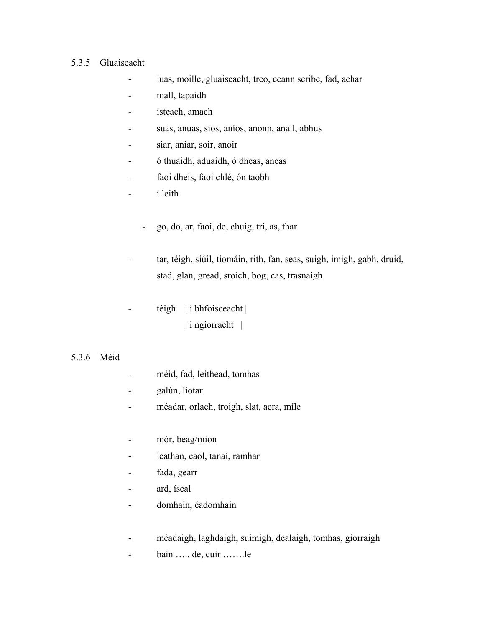#### 5.3.5 Gluaiseacht

- luas, moille, gluaiseacht, treo, ceann scribe, fad, achar
- mall, tapaidh
- isteach, amach
- suas, anuas, síos, aníos, anonn, anall, abhus
- siar, aniar, soir, anoir
- ó thuaidh, aduaidh, ó dheas, aneas
- faoi dheis, faoi chlé, ón taobh
- i leith
	- go, do, ar, faoi, de, chuig, trí, as, thar
- tar, téigh, siúil, tiomáin, rith, fan, seas, suigh, imigh, gabh, druid, stad, glan, gread, sroich, bog, cas, trasnaigh
- $\text{teigh}$  | i bhfoisceacht | | i ngiorracht |

#### 5.3.6 Méid

- méid, fad, leithead, tomhas
- galún, líotar
- méadar, orlach, troigh, slat, acra, míle
- mór, beag/mion
- leathan, caol, tanaí, ramhar
- fada, gearr
- ard, íseal
- domhain, éadomhain
- méadaigh, laghdaigh, suimigh, dealaigh, tomhas, giorraigh
- bain ….. de, cuir …….le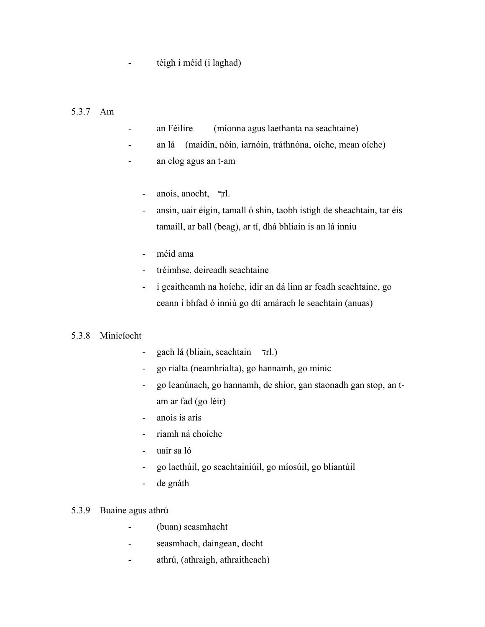- téigh i méid (i laghad)

#### 5.3.7 Am

- an Féilire (míonna agus laethanta na seachtaine)
- an lá (maidin, nóin, iarnóin, tráthnóna, oíche, mean oíche)
- an clog agus an t-am
	- anois, anocht, ךrl.
	- ansin, uair éigin, tamall ó shin, taobh istigh de sheachtain, tar éis tamaill, ar ball (beag), ar tí, dhá bhliain is an lá inniu
	- méid ama
	- tréimhse, deireadh seachtaine
	- i gcaitheamh na hoíche, idir an dá linn ar feadh seachtaine, go ceann i bhfad ó inniú go dtí amárach le seachtain (anuas)

#### 5.3.8 Minicíocht

- gach lá (bliain, seachtain דrl.)
- go rialta (neamhrialta), go hannamh, go minic
- go leanúnach, go hannamh, de shíor, gan staonadh gan stop, an tam ar fad (go léir)
- anois is arís
- riamh ná choíche
- uair sa ló
- go laethúil, go seachtainiúil, go míosúil, go bliantúil
- de gnáth

#### 5.3.9 Buaine agus athrú

- (buan) seasmhacht
- seasmhach, daingean, docht
- athrú, (athraigh, athraitheach)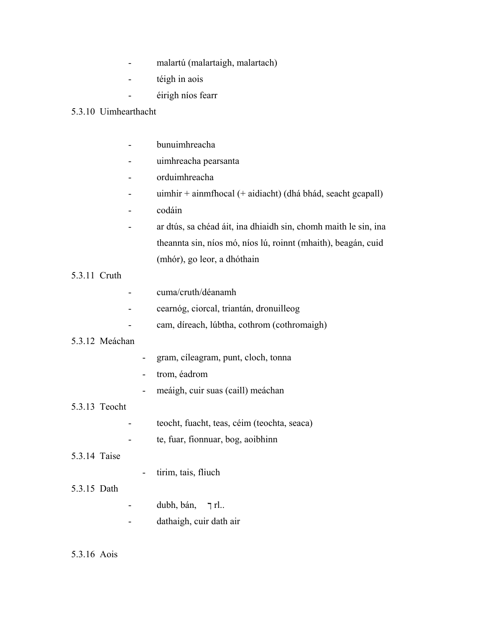- malartú (malartaigh, malartach)
- téigh in aois
- éirigh níos fearr

### 5.3.10 Uimhearthacht

- bunuimhreacha
- uimhreacha pearsanta
- orduimhreacha
- uimhir + ainmfhocal (+ aidiacht) (dhá bhád, seacht gcapall)
- codáin
- ar dtús, sa chéad áit, ina dhiaidh sin, chomh maith le sin, ina theannta sin, níos mó, níos lú, roinnt (mhaith), beagán, cuid (mhór), go leor, a dhóthain
- 5.3.11 Cruth
- cuma/cruth/déanamh
- cearnóg, ciorcal, triantán, dronuilleog
- cam, díreach, lúbtha, cothrom (cothromaigh)

#### 5.3.12 Meáchan

- gram, cíleagram, punt, cloch, tonna
- trom, éadrom
- meáigh, cuir suas (caill) meáchan

### 5.3.13 Teocht

- teocht, fuacht, teas, céim (teochta, seaca)
- te, fuar, fionnuar, bog, aoibhinn

#### 5.3.14 Taise

- tirim, tais, fliuch

# 5.3.15 Dath

- dubh, bán, ך rl..
- dathaigh, cuir dath air

#### 5.3.16 Aois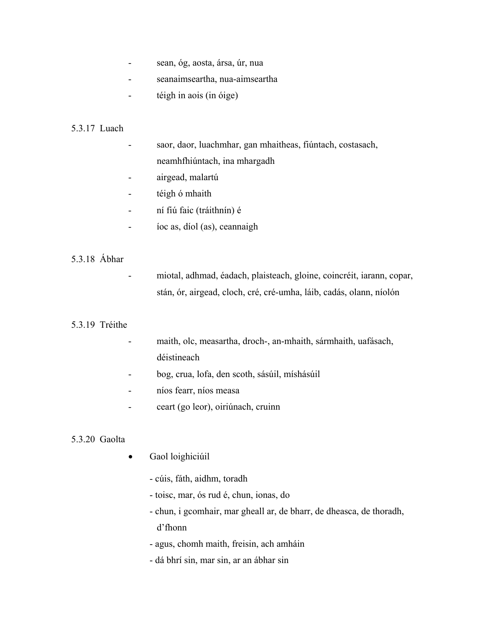- sean, óg, aosta, ársa, úr, nua
- seanaimseartha, nua-aimseartha
- téigh in aois (in óige)

## 5.3.17 Luach

- saor, daor, luachmhar, gan mhaitheas, fiúntach, costasach, neamhfhiúntach, ina mhargadh
- airgead, malartú
- téigh ó mhaith
- ní fiú faic (tráithnín) é
- íoc as, díol (as), ceannaigh

## 5.3.18 Ábhar

- miotal, adhmad, éadach, plaisteach, gloine, coincréit, iarann, copar, stán, ór, airgead, cloch, cré, cré-umha, láib, cadás, olann, níolón

#### 5.3.19 Tréithe

- maith, olc, measartha, droch-, an-mhaith, sármhaith, uafásach, déistineach
- bog, crua, lofa, den scoth, sásúil, míshásúil
- níos fearr, níos measa
- ceart (go leor), oiriúnach, cruinn

#### 5.3.20 Gaolta

- Gaol loighiciúil
	- cúis, fáth, aidhm, toradh
	- toisc, mar, ós rud é, chun, ionas, do
	- chun, i gcomhair, mar gheall ar, de bharr, de dheasca, de thoradh, d'fhonn
	- agus, chomh maith, freisin, ach amháin
	- dá bhrí sin, mar sin, ar an ábhar sin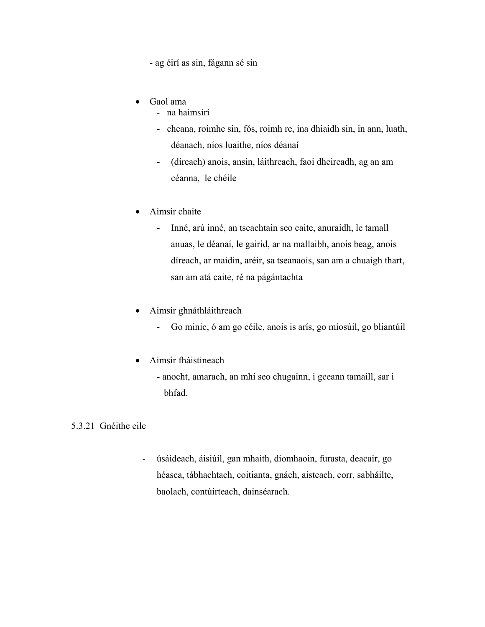- ag éirí as sin, fágann sé sin

- Gaol ama
	- na haimsirí
	- cheana, roimhe sin, fós, roimh re, ina dhiaidh sin, in ann, luath, déanach, níos luaithe, níos déanaí
	- (díreach) anois, ansin, láithreach, faoi dheireadh, ag an am céanna, le chéile
- Aimsir chaite
	- Inné, arú inné, an tseachtain seo caite, anuraidh, le tamall anuas, le déanaí, le gairid, ar na mallaibh, anois beag, anois díreach, ar maidin, aréir, sa tseanaois, san am a chuaigh thart, san am atá caite, ré na págántachta
- Aimsir ghnáthláithreach
	- Go minic, ó am go céile, anois is arís, go míosúil, go bliantúil
- Aimsir fháistineach
	- anocht, amarach, an mhí seo chugainn, i gceann tamaill, sar i bhfad.

# 5.3.21 Gnéithe eile

- úsáideach, áisiúil, gan mhaith, diomhaoin, furasta, deacair, go héasca, tábhachtach, coitianta, gnách, aisteach, corr, sabháilte, baolach, contúirteach, dainséarach.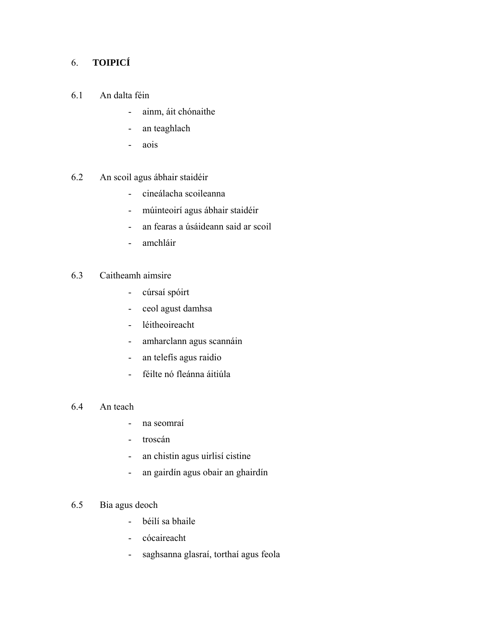# 6. **TOIPICÍ**

- 6.1 An dalta féin
	- ainm, áit chónaithe
	- an teaghlach
	- aois
- 6.2 An scoil agus ábhair staidéir
	- cineálacha scoileanna
	- múinteoirí agus ábhair staidéir
	- an fearas a úsáideann said ar scoil
	- amchláir

# 6.3 Caitheamh aimsire

- cúrsaí spóirt
- ceol agust damhsa
- léitheoireacht
- amharclann agus scannáin
- an telefís agus raidio
- féilte nó fleánna áitiúla
- 6.4 An teach
	- na seomraí
	- troscán
	- an chistin agus uirlisí cistine
	- an gairdín agus obair an ghairdín
- 6.5 Bia agus deoch
	- béilí sa bhaile
	- cócaireacht
	- saghsanna glasraí, torthaí agus feola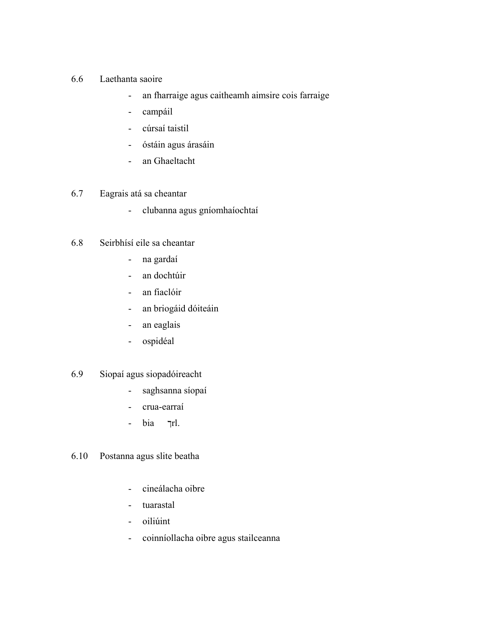- 6.6 Laethanta saoire
	- an fharraige agus caitheamh aimsire cois farraige
	- campáil
	- cúrsaí taistil
	- óstáin agus árasáin
	- an Ghaeltacht

# 6.7 Eagrais atá sa cheantar

- clubanna agus gníomhaíochtaí
- 6.8 Seirbhísí eile sa cheantar
	- na gardaí
	- an dochtúir
	- an fiaclóir
	- an briogáid dóiteáin
	- an eaglais
	- ospidéal

# 6.9 Siopaí agus siopadóireacht

- saghsanna síopaí
- crua-earraí
- bia ךrl.
- 6.10 Postanna agus slite beatha
	- cineálacha oibre
	- tuarastal
	- oiliúint
	- coinníollacha oibre agus stailceanna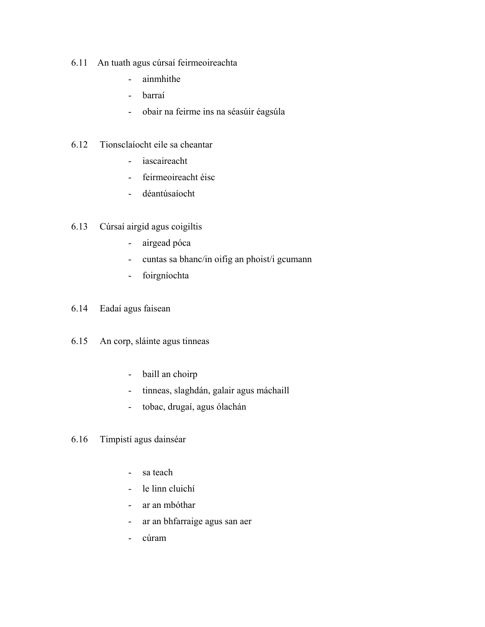- 6.11 An tuath agus cúrsaí feirmeoireachta
	- ainmhithe
	- barraí
	- obair na feirme ins na séasúir éagsúla
- 6.12 Tionsclaíocht eile sa cheantar
	- iascaireacht
	- feirmeoireacht éisc
	- déantúsaíocht
- 6.13 Cúrsaí airgid agus coigiltis
	- airgead póca
	- cuntas sa bhanc/in oifig an phoist/i gcumann
	- foirgníochta
- 6.14 Eadaí agus faisean
- 6.15 An corp, sláinte agus tinneas
	- baill an choirp
	- tinneas, slaghdán, galair agus máchaill
	- tobac, drugaí, agus ólachán
- 6.16 Timpistí agus dainséar
	- sa teach
	- le linn cluichí
	- ar an mbóthar
	- ar an bhfarraige agus san aer
	- cúram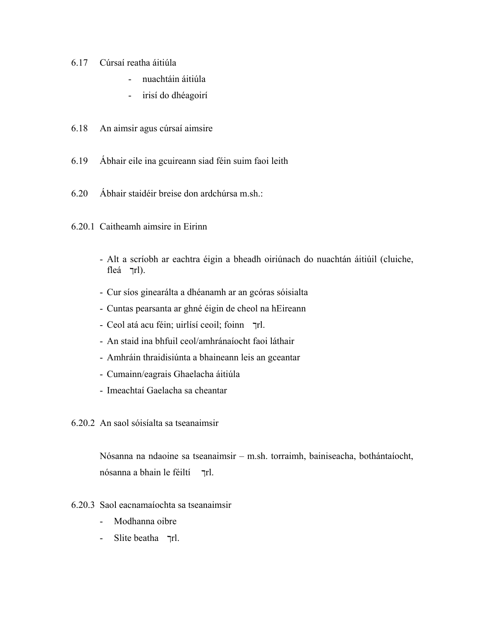- 6.17 Cúrsaí reatha áitiúla
	- nuachtáin áitiúla
	- irisí do dhéagoirí
- 6.18 An aimsir agus cúrsaí aimsire
- 6.19 Ábhair eile ina gcuireann siad féin suim faoi leith
- 6.20 Ábhair staidéir breise don ardchúrsa m.sh.:
- 6.20.1 Caitheamh aimsire in Eirinn
	- Alt a scríobh ar eachtra éigin a bheadh oiriúnach do nuachtán áitiúil (cluiche, fleá  $\pi$ l).
	- Cur síos ginearálta a dhéanamh ar an gcóras sóisialta
	- Cuntas pearsanta ar ghné éigin de cheol na hEireann
	- Ceol atá acu féin; uirlísí ceoil; foinn ךrl.
	- An staid ina bhfuil ceol/amhránaíocht faoi láthair
	- Amhráin thraidisiúnta a bhaineann leis an gceantar
	- Cumainn/eagrais Ghaelacha áitiúla
	- Imeachtaí Gaelacha sa cheantar
- 6.20.2 An saol sóisíalta sa tseanaimsir

Nósanna na ndaoine sa tseanaimsir – m.sh. torraimh, bainiseacha, bothántaíocht, nósanna a bhain le féiltí  $\tau$ rl.

- 6.20.3 Saol eacnamaíochta sa tseanaimsir
	- Modhanna oibre
	- Slite beatha  $\overline{r}$ rl.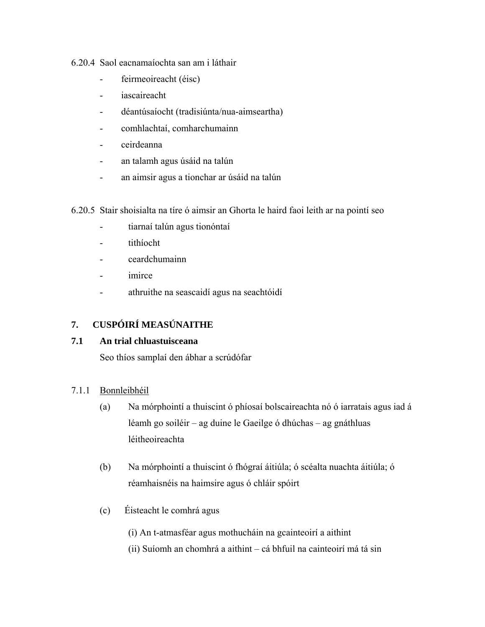#### 6.20.4 Saol eacnamaíochta san am i láthair

- feirmeoireacht (éisc)
- iascaireacht
- déantúsaíocht (tradisiúnta/nua-aimseartha)
- comhlachtaí, comharchumainn
- ceirdeanna
- an talamh agus úsáid na talún
- an aimsir agus a tionchar ar úsáid na talún
- 6.20.5 Stair shoisialta na tíre ó aimsir an Ghorta le haird faoi leith ar na pointí seo
	- tiarnaí talún agus tionóntaí
	- tithíocht
	- ceardchumainn
	- imirce
	- athruithe na seascaidí agus na seachtóidí

# **7. CUSPÓIRÍ MEASÚNAITHE**

## **7.1 An trial chluastuisceana**

Seo thíos samplaí den ábhar a scrúdófar

## 7.1.1 Bonnleibhéil

- (a) Na mórphointí a thuiscint ó phíosaí bolscaireachta nó ó iarratais agus iad á léamh go soiléir – ag duine le Gaeilge ó dhúchas – ag gnáthluas léitheoireachta
- (b) Na mórphointí a thuiscint ó fhógraí áitiúla; ó scéalta nuachta áitiúla; ó réamhaisnéis na haimsire agus ó chláir spóirt
- (c) Éisteacht le comhrá agus

(i) An t-atmasféar agus mothucháin na gcainteoirí a aithint

(ii) Suíomh an chomhrá a aithint – cá bhfuil na cainteoirí má tá sin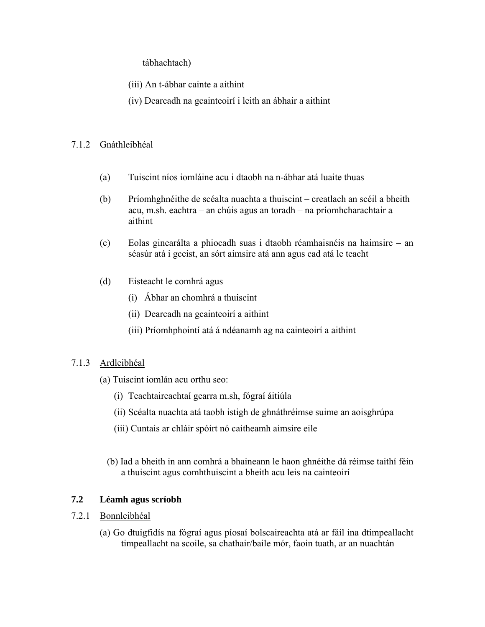tábhachtach)

- (iii) An t-ábhar cainte a aithint
- (iv) Dearcadh na gcainteoirí i leith an ábhair a aithint

### 7.1.2 Gnáthleibhéal

- (a) Tuiscint níos iomláine acu i dtaobh na n-ábhar atá luaite thuas
- (b) Príomhghnéithe de scéalta nuachta a thuiscint creatlach an scéil a bheith acu, m.sh. eachtra – an chúis agus an toradh – na príomhcharachtair a aithint
- (c) Eolas ginearálta a phiocadh suas i dtaobh réamhaisnéis na haimsire an séasúr atá i gceist, an sórt aimsire atá ann agus cad atá le teacht
- (d) Eisteacht le comhrá agus
	- (i) Ábhar an chomhrá a thuiscint
	- (ii) Dearcadh na gcainteoirí a aithint
	- (iii) Príomhphointí atá á ndéanamh ag na cainteoirí a aithint

## 7.1.3 Ardleibhéal

- (a) Tuiscint iomlán acu orthu seo:
	- (i) Teachtaireachtaí gearra m.sh, fógraí áitiúla
	- (ii) Scéalta nuachta atá taobh istigh de ghnáthréimse suime an aoisghrúpa
	- (iii) Cuntais ar chláir spóirt nó caitheamh aimsire eile
	- (b) Iad a bheith in ann comhrá a bhaineann le haon ghnéithe dá réimse taithí féin a thuiscint agus comhthuiscint a bheith acu leis na cainteoirí

## **7.2 Léamh agus scríobh**

## 7.2.1 Bonnleibhéal

(a) Go dtuigfidís na fógraí agus píosaí bolscaireachta atá ar fáil ina dtimpeallacht – timpeallacht na scoile, sa chathair/baile mór, faoin tuath, ar an nuachtán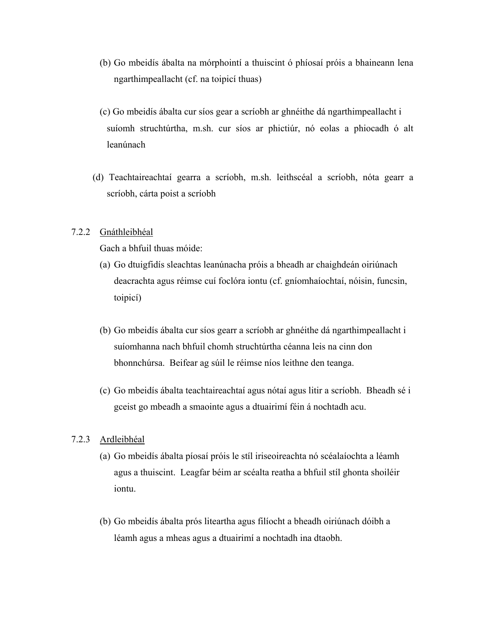- (b) Go mbeidís ábalta na mórphointí a thuiscint ó phíosaí próis a bhaineann lena ngarthimpeallacht (cf. na toipicí thuas)
- (c) Go mbeidís ábalta cur síos gear a scríobh ar ghnéithe dá ngarthimpeallacht i suíomh struchtúrtha, m.sh. cur síos ar phictiúr, nó eolas a phiocadh ó alt leanúnach
- (d) Teachtaireachtaí gearra a scríobh, m.sh. leithscéal a scríobh, nóta gearr a scríobh, cárta poist a scríobh

#### 7.2.2 Gnáthleibhéal

Gach a bhfuil thuas móide:

- (a) Go dtuigfidís sleachtas leanúnacha próis a bheadh ar chaighdeán oiriúnach deacrachta agus réimse cuí foclóra iontu (cf. gníomhaíochtaí, nóisin, funcsin, toipicí)
- (b) Go mbeidís ábalta cur síos gearr a scríobh ar ghnéithe dá ngarthimpeallacht i suíomhanna nach bhfuil chomh struchtúrtha céanna leis na cinn don bhonnchúrsa. Beifear ag súil le réimse níos leithne den teanga.
- (c) Go mbeidís ábalta teachtaireachtaí agus nótaí agus litir a scríobh. Bheadh sé i gceist go mbeadh a smaointe agus a dtuairimí féin á nochtadh acu.

#### 7.2.3 Ardleibhéal

- (a) Go mbeidís ábalta píosaí próis le stíl iriseoireachta nó scéalaíochta a léamh agus a thuiscint. Leagfar béim ar scéalta reatha a bhfuil stíl ghonta shoiléir iontu.
- (b) Go mbeidís ábalta prós liteartha agus filíocht a bheadh oiriúnach dóibh a léamh agus a mheas agus a dtuairimí a nochtadh ina dtaobh.